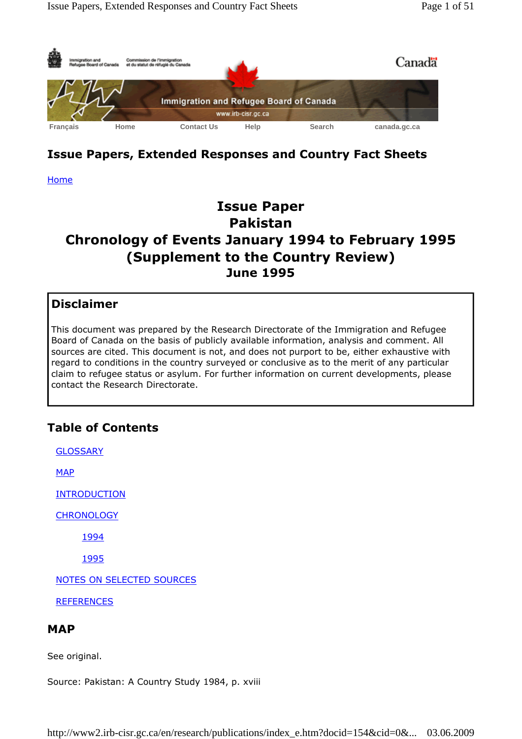

# Issue Papers, Extended Responses and Country Fact Sheets

Home

# Issue Paper Pakistan Chronology of Events January 1994 to February 1995 (Supplement to the Country Review) June 1995

## Disclaimer

This document was prepared by the Research Directorate of the Immigration and Refugee Board of Canada on the basis of publicly available information, analysis and comment. All sources are cited. This document is not, and does not purport to be, either exhaustive with regard to conditions in the country surveyed or conclusive as to the merit of any particular claim to refugee status or asylum. For further information on current developments, please contact the Research Directorate.

# Table of Contents

**GLOSSARY MAP INTRODUCTION CHRONOLOGY** 1994 1995 NOTES ON SELECTED SOURCES **REFERENCES** 

## **MAP**

See original.

Source: Pakistan: A Country Study 1984, p. xviii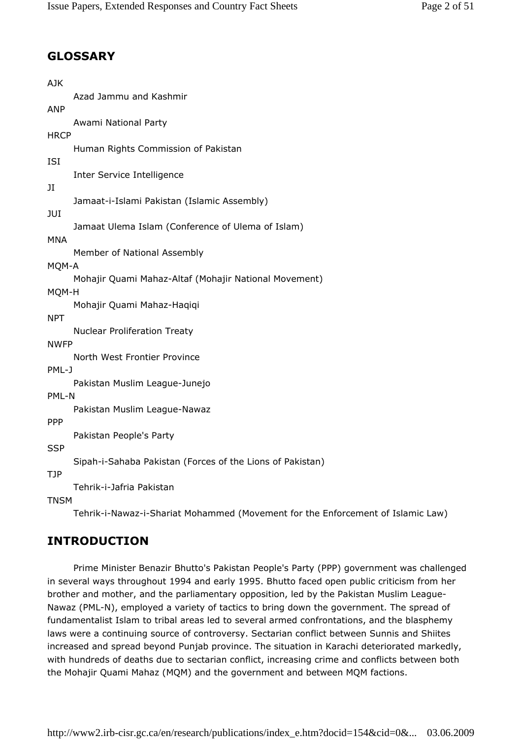# GLOSSARY

| <b>AJK</b>  |                                                           |
|-------------|-----------------------------------------------------------|
|             | Azad Jammu and Kashmir                                    |
| <b>ANP</b>  |                                                           |
|             | Awami National Party                                      |
| <b>HRCP</b> |                                                           |
|             | Human Rights Commission of Pakistan                       |
| ISI         |                                                           |
|             | Inter Service Intelligence                                |
| JI          |                                                           |
|             | Jamaat-i-Islami Pakistan (Islamic Assembly)               |
| JUI         | Jamaat Ulema Islam (Conference of Ulema of Islam)         |
| MNA         |                                                           |
|             | Member of National Assembly                               |
| MQM-A       |                                                           |
|             | Mohajir Quami Mahaz-Altaf (Mohajir National Movement)     |
| MQM-H       |                                                           |
|             | Mohajir Quami Mahaz-Haqiqi                                |
| <b>NPT</b>  |                                                           |
|             | <b>Nuclear Proliferation Treaty</b>                       |
| <b>NWFP</b> |                                                           |
|             | North West Frontier Province                              |
| PML-J       |                                                           |
|             | Pakistan Muslim League-Junejo                             |
| PML-N       |                                                           |
|             | Pakistan Muslim League-Nawaz                              |
| <b>PPP</b>  |                                                           |
|             | Pakistan People's Party                                   |
| <b>SSP</b>  |                                                           |
|             | Sipah-i-Sahaba Pakistan (Forces of the Lions of Pakistan) |
| <b>TJP</b>  |                                                           |
| T1001       | Tehrik-i-Jafria Pakistan                                  |

**TNSM** 

Tehrik-i-Nawaz-i-Shariat Mohammed (Movement for the Enforcement of Islamic Law)

## INTRODUCTION

Prime Minister Benazir Bhutto's Pakistan People's Party (PPP) government was challenged in several ways throughout 1994 and early 1995. Bhutto faced open public criticism from her brother and mother, and the parliamentary opposition, led by the Pakistan Muslim League-Nawaz (PML-N), employed a variety of tactics to bring down the government. The spread of fundamentalist Islam to tribal areas led to several armed confrontations, and the blasphemy laws were a continuing source of controversy. Sectarian conflict between Sunnis and Shiites increased and spread beyond Punjab province. The situation in Karachi deteriorated markedly, with hundreds of deaths due to sectarian conflict, increasing crime and conflicts between both the Mohajir Quami Mahaz (MQM) and the government and between MQM factions.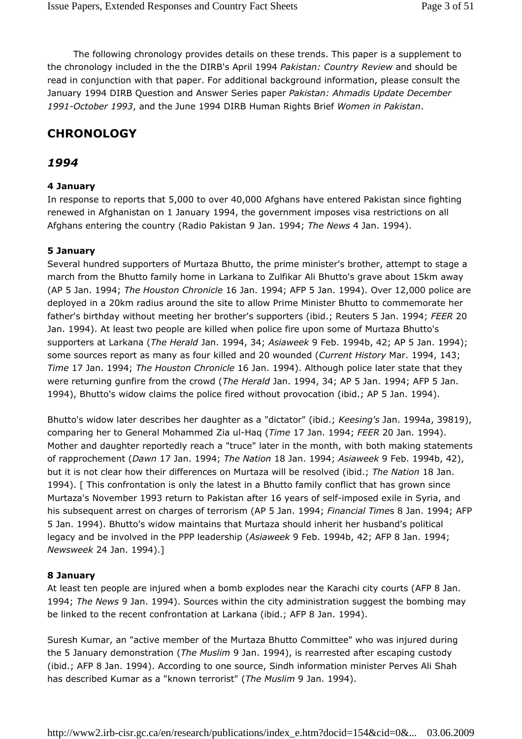The following chronology provides details on these trends. This paper is a supplement to the chronology included in the the DIRB's April 1994 Pakistan: Country Review and should be read in conjunction with that paper. For additional background information, please consult the January 1994 DIRB Question and Answer Series paper Pakistan: Ahmadis Update December 1991-October 1993, and the June 1994 DIRB Human Rights Brief Women in Pakistan.

# **CHRONOLOGY**

## 1994

## 4 January

In response to reports that 5,000 to over 40,000 Afghans have entered Pakistan since fighting renewed in Afghanistan on 1 January 1994, the government imposes visa restrictions on all Afghans entering the country (Radio Pakistan 9 Jan. 1994; The News 4 Jan. 1994).

## 5 January

Several hundred supporters of Murtaza Bhutto, the prime minister's brother, attempt to stage a march from the Bhutto family home in Larkana to Zulfikar Ali Bhutto's grave about 15km away (AP 5 Jan. 1994; The Houston Chronicle 16 Jan. 1994; AFP 5 Jan. 1994). Over 12,000 police are deployed in a 20km radius around the site to allow Prime Minister Bhutto to commemorate her father's birthday without meeting her brother's supporters (ibid.; Reuters 5 Jan. 1994; FEER 20 Jan. 1994). At least two people are killed when police fire upon some of Murtaza Bhutto's supporters at Larkana (The Herald Jan. 1994, 34; Asiaweek 9 Feb. 1994b, 42; AP 5 Jan. 1994); some sources report as many as four killed and 20 wounded (Current History Mar. 1994, 143; Time 17 Jan. 1994; The Houston Chronicle 16 Jan. 1994). Although police later state that they were returning gunfire from the crowd (The Herald Jan. 1994, 34; AP 5 Jan. 1994; AFP 5 Jan. 1994), Bhutto's widow claims the police fired without provocation (ibid.; AP 5 Jan. 1994).

Bhutto's widow later describes her daughter as a "dictator" (ibid.; Keesing's Jan. 1994a, 39819), comparing her to General Mohammed Zia ul-Haq (Time 17 Jan. 1994; FEER 20 Jan. 1994). Mother and daughter reportedly reach a "truce" later in the month, with both making statements of rapprochement (Dawn 17 Jan. 1994; The Nation 18 Jan. 1994; Asiaweek 9 Feb. 1994b, 42), but it is not clear how their differences on Murtaza will be resolved (ibid.; The Nation 18 Jan. 1994). [ This confrontation is only the latest in a Bhutto family conflict that has grown since Murtaza's November 1993 return to Pakistan after 16 years of self-imposed exile in Syria, and his subsequent arrest on charges of terrorism (AP 5 Jan. 1994; Financial Times 8 Jan. 1994; AFP 5 Jan. 1994). Bhutto's widow maintains that Murtaza should inherit her husband's political legacy and be involved in the PPP leadership (Asiaweek 9 Feb. 1994b, 42; AFP 8 Jan. 1994; Newsweek 24 Jan. 1994).]

## 8 January

At least ten people are injured when a bomb explodes near the Karachi city courts (AFP 8 Jan. 1994; The News 9 Jan. 1994). Sources within the city administration suggest the bombing may be linked to the recent confrontation at Larkana (ibid.; AFP 8 Jan. 1994).

Suresh Kumar, an "active member of the Murtaza Bhutto Committee" who was injured during the 5 January demonstration (The Muslim 9 Jan. 1994), is rearrested after escaping custody (ibid.; AFP 8 Jan. 1994). According to one source, Sindh information minister Perves Ali Shah has described Kumar as a "known terrorist" (The Muslim 9 Jan. 1994).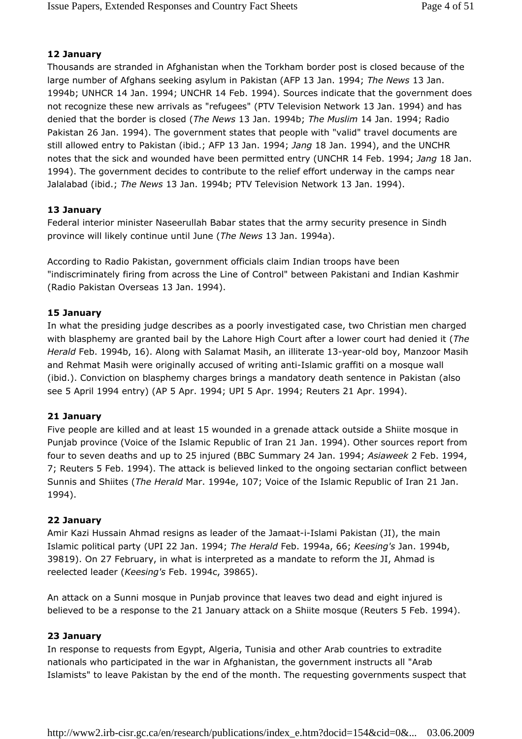### 12 January

Thousands are stranded in Afghanistan when the Torkham border post is closed because of the large number of Afghans seeking asylum in Pakistan (AFP 13 Jan. 1994; The News 13 Jan. 1994b; UNHCR 14 Jan. 1994; UNCHR 14 Feb. 1994). Sources indicate that the government does not recognize these new arrivals as "refugees" (PTV Television Network 13 Jan. 1994) and has denied that the border is closed (The News 13 Jan. 1994b; The Muslim 14 Jan. 1994; Radio Pakistan 26 Jan. 1994). The government states that people with "valid" travel documents are still allowed entry to Pakistan (ibid.; AFP 13 Jan. 1994; Jang 18 Jan. 1994), and the UNCHR notes that the sick and wounded have been permitted entry (UNCHR 14 Feb. 1994; Jang 18 Jan. 1994). The government decides to contribute to the relief effort underway in the camps near Jalalabad (ibid.; The News 13 Jan. 1994b; PTV Television Network 13 Jan. 1994).

## 13 January

Federal interior minister Naseerullah Babar states that the army security presence in Sindh province will likely continue until June (The News 13 Jan. 1994a).

According to Radio Pakistan, government officials claim Indian troops have been "indiscriminately firing from across the Line of Control" between Pakistani and Indian Kashmir (Radio Pakistan Overseas 13 Jan. 1994).

#### 15 January

In what the presiding judge describes as a poorly investigated case, two Christian men charged with blasphemy are granted bail by the Lahore High Court after a lower court had denied it (The Herald Feb. 1994b, 16). Along with Salamat Masih, an illiterate 13-year-old boy, Manzoor Masih and Rehmat Masih were originally accused of writing anti-Islamic graffiti on a mosque wall (ibid.). Conviction on blasphemy charges brings a mandatory death sentence in Pakistan (also see 5 April 1994 entry) (AP 5 Apr. 1994; UPI 5 Apr. 1994; Reuters 21 Apr. 1994).

#### 21 January

Five people are killed and at least 15 wounded in a grenade attack outside a Shiite mosque in Punjab province (Voice of the Islamic Republic of Iran 21 Jan. 1994). Other sources report from four to seven deaths and up to 25 injured (BBC Summary 24 Jan. 1994; Asiaweek 2 Feb. 1994, 7; Reuters 5 Feb. 1994). The attack is believed linked to the ongoing sectarian conflict between Sunnis and Shiites (The Herald Mar. 1994e, 107; Voice of the Islamic Republic of Iran 21 Jan. 1994).

#### 22 January

Amir Kazi Hussain Ahmad resigns as leader of the Jamaat-i-Islami Pakistan (JI), the main Islamic political party (UPI 22 Jan. 1994; The Herald Feb. 1994a, 66; Keesing's Jan. 1994b, 39819). On 27 February, in what is interpreted as a mandate to reform the JI, Ahmad is reelected leader (Keesing's Feb. 1994c, 39865).

An attack on a Sunni mosque in Punjab province that leaves two dead and eight injured is believed to be a response to the 21 January attack on a Shiite mosque (Reuters 5 Feb. 1994).

#### 23 January

In response to requests from Egypt, Algeria, Tunisia and other Arab countries to extradite nationals who participated in the war in Afghanistan, the government instructs all "Arab Islamists" to leave Pakistan by the end of the month. The requesting governments suspect that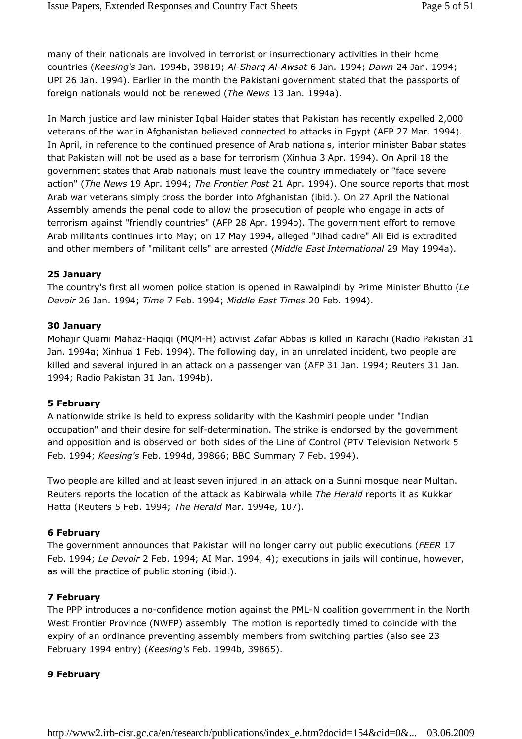many of their nationals are involved in terrorist or insurrectionary activities in their home countries (Keesing's Jan. 1994b, 39819; Al-Sharq Al-Awsat 6 Jan. 1994; Dawn 24 Jan. 1994; UPI 26 Jan. 1994). Earlier in the month the Pakistani government stated that the passports of foreign nationals would not be renewed (The News 13 Jan. 1994a).

In March justice and law minister Iqbal Haider states that Pakistan has recently expelled 2,000 veterans of the war in Afghanistan believed connected to attacks in Egypt (AFP 27 Mar. 1994). In April, in reference to the continued presence of Arab nationals, interior minister Babar states that Pakistan will not be used as a base for terrorism (Xinhua 3 Apr. 1994). On April 18 the government states that Arab nationals must leave the country immediately or "face severe action" (The News 19 Apr. 1994; The Frontier Post 21 Apr. 1994). One source reports that most Arab war veterans simply cross the border into Afghanistan (ibid.). On 27 April the National Assembly amends the penal code to allow the prosecution of people who engage in acts of terrorism against "friendly countries" (AFP 28 Apr. 1994b). The government effort to remove Arab militants continues into May; on 17 May 1994, alleged "Jihad cadre" Ali Eid is extradited and other members of "militant cells" are arrested (Middle East International 29 May 1994a).

#### 25 January

The country's first all women police station is opened in Rawalpindi by Prime Minister Bhutto (Le Devoir 26 Jan. 1994; Time 7 Feb. 1994; Middle East Times 20 Feb. 1994).

#### 30 January

Mohajir Quami Mahaz-Haqiqi (MQM-H) activist Zafar Abbas is killed in Karachi (Radio Pakistan 31 Jan. 1994a; Xinhua 1 Feb. 1994). The following day, in an unrelated incident, two people are killed and several injured in an attack on a passenger van (AFP 31 Jan. 1994; Reuters 31 Jan. 1994; Radio Pakistan 31 Jan. 1994b).

#### 5 February

A nationwide strike is held to express solidarity with the Kashmiri people under "Indian occupation" and their desire for self-determination. The strike is endorsed by the government and opposition and is observed on both sides of the Line of Control (PTV Television Network 5 Feb. 1994; Keesing's Feb. 1994d, 39866; BBC Summary 7 Feb. 1994).

Two people are killed and at least seven injured in an attack on a Sunni mosque near Multan. Reuters reports the location of the attack as Kabirwala while The Herald reports it as Kukkar Hatta (Reuters 5 Feb. 1994; The Herald Mar. 1994e, 107).

#### 6 February

The government announces that Pakistan will no longer carry out public executions (FEER 17 Feb. 1994; Le Devoir 2 Feb. 1994; AI Mar. 1994, 4); executions in jails will continue, however, as will the practice of public stoning (ibid.).

#### 7 February

The PPP introduces a no-confidence motion against the PML-N coalition government in the North West Frontier Province (NWFP) assembly. The motion is reportedly timed to coincide with the expiry of an ordinance preventing assembly members from switching parties (also see 23 February 1994 entry) (Keesing's Feb. 1994b, 39865).

#### 9 February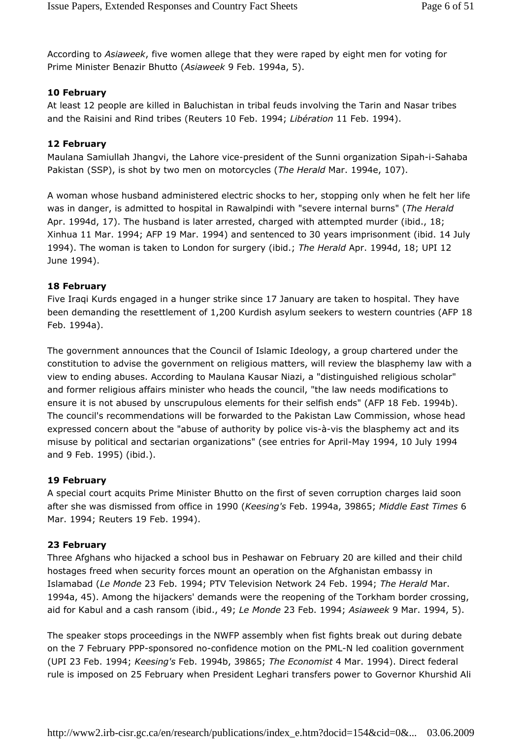According to Asiaweek, five women allege that they were raped by eight men for voting for Prime Minister Benazir Bhutto (Asiaweek 9 Feb. 1994a, 5).

## 10 February

At least 12 people are killed in Baluchistan in tribal feuds involving the Tarin and Nasar tribes and the Raisini and Rind tribes (Reuters 10 Feb. 1994; Libération 11 Feb. 1994).

## 12 February

Maulana Samiullah Jhangvi, the Lahore vice-president of the Sunni organization Sipah-i-Sahaba Pakistan (SSP), is shot by two men on motorcycles (The Herald Mar. 1994e, 107).

A woman whose husband administered electric shocks to her, stopping only when he felt her life was in danger, is admitted to hospital in Rawalpindi with "severe internal burns" (The Herald Apr. 1994d, 17). The husband is later arrested, charged with attempted murder (ibid., 18; Xinhua 11 Mar. 1994; AFP 19 Mar. 1994) and sentenced to 30 years imprisonment (ibid. 14 July 1994). The woman is taken to London for surgery (ibid.; The Herald Apr. 1994d, 18; UPI 12 June 1994).

## 18 February

Five Iraqi Kurds engaged in a hunger strike since 17 January are taken to hospital. They have been demanding the resettlement of 1,200 Kurdish asylum seekers to western countries (AFP 18 Feb. 1994a).

The government announces that the Council of Islamic Ideology, a group chartered under the constitution to advise the government on religious matters, will review the blasphemy law with a view to ending abuses. According to Maulana Kausar Niazi, a "distinguished religious scholar" and former religious affairs minister who heads the council, "the law needs modifications to ensure it is not abused by unscrupulous elements for their selfish ends" (AFP 18 Feb. 1994b). The council's recommendations will be forwarded to the Pakistan Law Commission, whose head expressed concern about the "abuse of authority by police vis-à-vis the blasphemy act and its misuse by political and sectarian organizations" (see entries for April-May 1994, 10 July 1994 and 9 Feb. 1995) (ibid.).

## 19 February

A special court acquits Prime Minister Bhutto on the first of seven corruption charges laid soon after she was dismissed from office in 1990 (Keesing's Feb. 1994a, 39865; Middle East Times 6 Mar. 1994; Reuters 19 Feb. 1994).

## 23 February

Three Afghans who hijacked a school bus in Peshawar on February 20 are killed and their child hostages freed when security forces mount an operation on the Afghanistan embassy in Islamabad (Le Monde 23 Feb. 1994; PTV Television Network 24 Feb. 1994; The Herald Mar. 1994a, 45). Among the hijackers' demands were the reopening of the Torkham border crossing, aid for Kabul and a cash ransom (ibid., 49; Le Monde 23 Feb. 1994; Asiaweek 9 Mar. 1994, 5).

The speaker stops proceedings in the NWFP assembly when fist fights break out during debate on the 7 February PPP-sponsored no-confidence motion on the PML-N led coalition government (UPI 23 Feb. 1994; Keesing's Feb. 1994b, 39865; The Economist 4 Mar. 1994). Direct federal rule is imposed on 25 February when President Leghari transfers power to Governor Khurshid Ali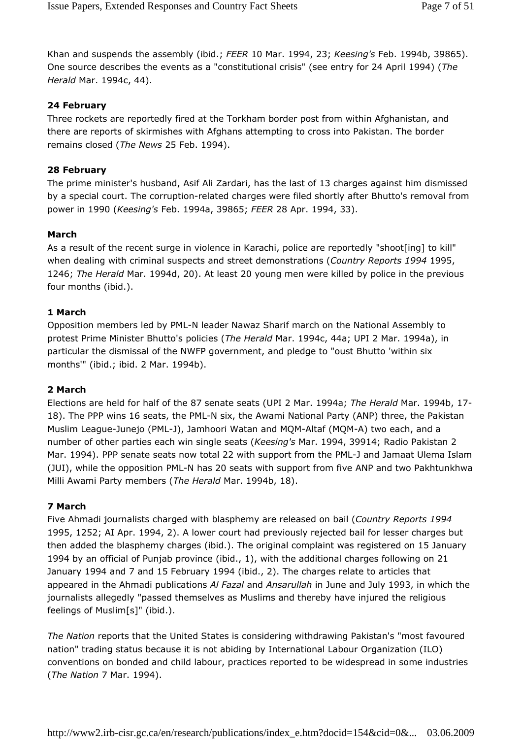Khan and suspends the assembly (ibid.; FEER 10 Mar. 1994, 23; Keesing's Feb. 1994b, 39865). One source describes the events as a "constitutional crisis" (see entry for 24 April 1994) (The Herald Mar. 1994c, 44).

## 24 February

Three rockets are reportedly fired at the Torkham border post from within Afghanistan, and there are reports of skirmishes with Afghans attempting to cross into Pakistan. The border remains closed (The News 25 Feb. 1994).

## 28 February

The prime minister's husband, Asif Ali Zardari, has the last of 13 charges against him dismissed by a special court. The corruption-related charges were filed shortly after Bhutto's removal from power in 1990 (Keesing's Feb. 1994a, 39865; FEER 28 Apr. 1994, 33).

## March

As a result of the recent surge in violence in Karachi, police are reportedly "shoot[ing] to kill" when dealing with criminal suspects and street demonstrations (Country Reports 1994 1995, 1246; The Herald Mar. 1994d, 20). At least 20 young men were killed by police in the previous four months (ibid.).

## 1 March

Opposition members led by PML-N leader Nawaz Sharif march on the National Assembly to protest Prime Minister Bhutto's policies (The Herald Mar. 1994c, 44a; UPI 2 Mar. 1994a), in particular the dismissal of the NWFP government, and pledge to "oust Bhutto 'within six months'" (ibid.; ibid. 2 Mar. 1994b).

## 2 March

Elections are held for half of the 87 senate seats (UPI 2 Mar. 1994a; The Herald Mar. 1994b, 17- 18). The PPP wins 16 seats, the PML-N six, the Awami National Party (ANP) three, the Pakistan Muslim League-Junejo (PML-J), Jamhoori Watan and MQM-Altaf (MQM-A) two each, and a number of other parties each win single seats (Keesing's Mar. 1994, 39914; Radio Pakistan 2 Mar. 1994). PPP senate seats now total 22 with support from the PML-J and Jamaat Ulema Islam (JUI), while the opposition PML-N has 20 seats with support from five ANP and two Pakhtunkhwa Milli Awami Party members (The Herald Mar. 1994b, 18).

## 7 March

Five Ahmadi journalists charged with blasphemy are released on bail (Country Reports 1994 1995, 1252; AI Apr. 1994, 2). A lower court had previously rejected bail for lesser charges but then added the blasphemy charges (ibid.). The original complaint was registered on 15 January 1994 by an official of Punjab province (ibid., 1), with the additional charges following on 21 January 1994 and 7 and 15 February 1994 (ibid., 2). The charges relate to articles that appeared in the Ahmadi publications Al Fazal and Ansarullah in June and July 1993, in which the journalists allegedly "passed themselves as Muslims and thereby have injured the religious feelings of Muslim[s]" (ibid.).

The Nation reports that the United States is considering withdrawing Pakistan's "most favoured nation" trading status because it is not abiding by International Labour Organization (ILO) conventions on bonded and child labour, practices reported to be widespread in some industries (The Nation 7 Mar. 1994).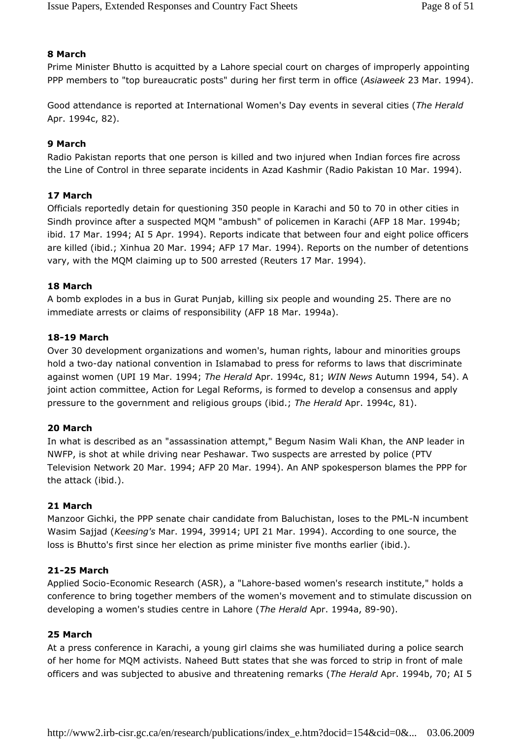## 8 March

Prime Minister Bhutto is acquitted by a Lahore special court on charges of improperly appointing PPP members to "top bureaucratic posts" during her first term in office (Asiaweek 23 Mar. 1994).

Good attendance is reported at International Women's Day events in several cities (The Herald Apr. 1994c, 82).

## 9 March

Radio Pakistan reports that one person is killed and two injured when Indian forces fire across the Line of Control in three separate incidents in Azad Kashmir (Radio Pakistan 10 Mar. 1994).

## 17 March

Officials reportedly detain for questioning 350 people in Karachi and 50 to 70 in other cities in Sindh province after a suspected MQM "ambush" of policemen in Karachi (AFP 18 Mar. 1994b; ibid. 17 Mar. 1994; AI 5 Apr. 1994). Reports indicate that between four and eight police officers are killed (ibid.; Xinhua 20 Mar. 1994; AFP 17 Mar. 1994). Reports on the number of detentions vary, with the MQM claiming up to 500 arrested (Reuters 17 Mar. 1994).

#### 18 March

A bomb explodes in a bus in Gurat Punjab, killing six people and wounding 25. There are no immediate arrests or claims of responsibility (AFP 18 Mar. 1994a).

#### 18-19 March

Over 30 development organizations and women's, human rights, labour and minorities groups hold a two-day national convention in Islamabad to press for reforms to laws that discriminate against women (UPI 19 Mar. 1994; The Herald Apr. 1994c, 81; WIN News Autumn 1994, 54). A joint action committee, Action for Legal Reforms, is formed to develop a consensus and apply pressure to the government and religious groups (ibid.; The Herald Apr. 1994c, 81).

## 20 March

In what is described as an "assassination attempt," Begum Nasim Wali Khan, the ANP leader in NWFP, is shot at while driving near Peshawar. Two suspects are arrested by police (PTV Television Network 20 Mar. 1994; AFP 20 Mar. 1994). An ANP spokesperson blames the PPP for the attack (ibid.).

#### 21 March

Manzoor Gichki, the PPP senate chair candidate from Baluchistan, loses to the PML-N incumbent Wasim Sajjad (Keesing's Mar. 1994, 39914; UPI 21 Mar. 1994). According to one source, the loss is Bhutto's first since her election as prime minister five months earlier (ibid.).

## 21-25 March

Applied Socio-Economic Research (ASR), a "Lahore-based women's research institute," holds a conference to bring together members of the women's movement and to stimulate discussion on developing a women's studies centre in Lahore (The Herald Apr. 1994a, 89-90).

#### 25 March

At a press conference in Karachi, a young girl claims she was humiliated during a police search of her home for MQM activists. Naheed Butt states that she was forced to strip in front of male officers and was subjected to abusive and threatening remarks (The Herald Apr. 1994b, 70; AI 5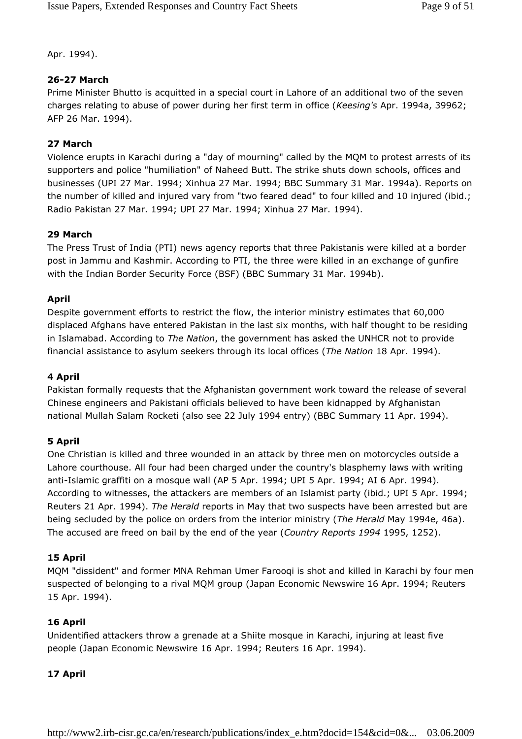Apr. 1994).

## 26-27 March

Prime Minister Bhutto is acquitted in a special court in Lahore of an additional two of the seven charges relating to abuse of power during her first term in office (Keesing's Apr. 1994a, 39962; AFP 26 Mar. 1994).

## 27 March

Violence erupts in Karachi during a "day of mourning" called by the MQM to protest arrests of its supporters and police "humiliation" of Naheed Butt. The strike shuts down schools, offices and businesses (UPI 27 Mar. 1994; Xinhua 27 Mar. 1994; BBC Summary 31 Mar. 1994a). Reports on the number of killed and injured vary from "two feared dead" to four killed and 10 injured (ibid.; Radio Pakistan 27 Mar. 1994; UPI 27 Mar. 1994; Xinhua 27 Mar. 1994).

## 29 March

The Press Trust of India (PTI) news agency reports that three Pakistanis were killed at a border post in Jammu and Kashmir. According to PTI, the three were killed in an exchange of gunfire with the Indian Border Security Force (BSF) (BBC Summary 31 Mar. 1994b).

## April

Despite government efforts to restrict the flow, the interior ministry estimates that 60,000 displaced Afghans have entered Pakistan in the last six months, with half thought to be residing in Islamabad. According to The Nation, the government has asked the UNHCR not to provide financial assistance to asylum seekers through its local offices (The Nation 18 Apr. 1994).

## 4 April

Pakistan formally requests that the Afghanistan government work toward the release of several Chinese engineers and Pakistani officials believed to have been kidnapped by Afghanistan national Mullah Salam Rocketi (also see 22 July 1994 entry) (BBC Summary 11 Apr. 1994).

## 5 April

One Christian is killed and three wounded in an attack by three men on motorcycles outside a Lahore courthouse. All four had been charged under the country's blasphemy laws with writing anti-Islamic graffiti on a mosque wall (AP 5 Apr. 1994; UPI 5 Apr. 1994; AI 6 Apr. 1994). According to witnesses, the attackers are members of an Islamist party (ibid.; UPI 5 Apr. 1994; Reuters 21 Apr. 1994). The Herald reports in May that two suspects have been arrested but are being secluded by the police on orders from the interior ministry (The Herald May 1994e, 46a). The accused are freed on bail by the end of the year (Country Reports 1994 1995, 1252).

## 15 April

MQM "dissident" and former MNA Rehman Umer Farooqi is shot and killed in Karachi by four men suspected of belonging to a rival MQM group (Japan Economic Newswire 16 Apr. 1994; Reuters 15 Apr. 1994).

## 16 April

Unidentified attackers throw a grenade at a Shiite mosque in Karachi, injuring at least five people (Japan Economic Newswire 16 Apr. 1994; Reuters 16 Apr. 1994).

## 17 April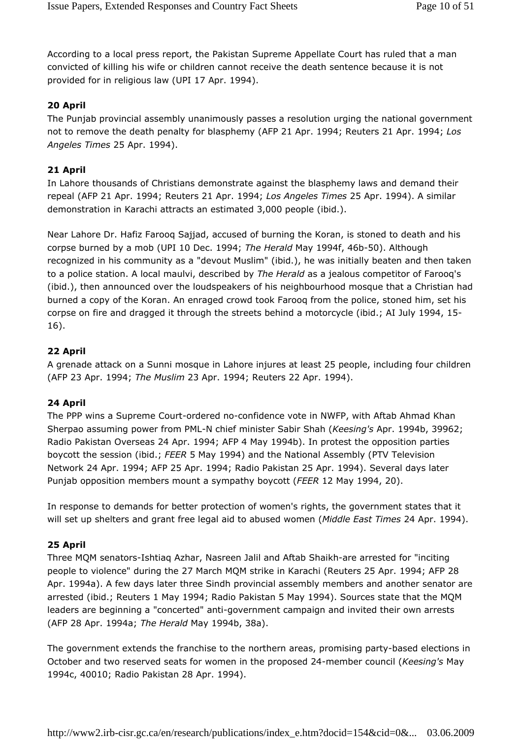According to a local press report, the Pakistan Supreme Appellate Court has ruled that a man convicted of killing his wife or children cannot receive the death sentence because it is not provided for in religious law (UPI 17 Apr. 1994).

## 20 April

The Punjab provincial assembly unanimously passes a resolution urging the national government not to remove the death penalty for blasphemy (AFP 21 Apr. 1994; Reuters 21 Apr. 1994; Los Angeles Times 25 Apr. 1994).

## 21 April

In Lahore thousands of Christians demonstrate against the blasphemy laws and demand their repeal (AFP 21 Apr. 1994; Reuters 21 Apr. 1994; Los Angeles Times 25 Apr. 1994). A similar demonstration in Karachi attracts an estimated 3,000 people (ibid.).

Near Lahore Dr. Hafiz Farooq Sajjad, accused of burning the Koran, is stoned to death and his corpse burned by a mob (UPI 10 Dec. 1994; The Herald May 1994f, 46b-50). Although recognized in his community as a "devout Muslim" (ibid.), he was initially beaten and then taken to a police station. A local maulvi, described by The Herald as a jealous competitor of Farooq's (ibid.), then announced over the loudspeakers of his neighbourhood mosque that a Christian had burned a copy of the Koran. An enraged crowd took Farooq from the police, stoned him, set his corpse on fire and dragged it through the streets behind a motorcycle (ibid.; AI July 1994, 15- 16).

## 22 April

A grenade attack on a Sunni mosque in Lahore injures at least 25 people, including four children (AFP 23 Apr. 1994; The Muslim 23 Apr. 1994; Reuters 22 Apr. 1994).

#### 24 April

The PPP wins a Supreme Court-ordered no-confidence vote in NWFP, with Aftab Ahmad Khan Sherpao assuming power from PML-N chief minister Sabir Shah (Keesing's Apr. 1994b, 39962; Radio Pakistan Overseas 24 Apr. 1994; AFP 4 May 1994b). In protest the opposition parties boycott the session (ibid.; FEER 5 May 1994) and the National Assembly (PTV Television Network 24 Apr. 1994; AFP 25 Apr. 1994; Radio Pakistan 25 Apr. 1994). Several days later Punjab opposition members mount a sympathy boycott (FEER 12 May 1994, 20).

In response to demands for better protection of women's rights, the government states that it will set up shelters and grant free legal aid to abused women (Middle East Times 24 Apr. 1994).

#### 25 April

Three MQM senators-Ishtiaq Azhar, Nasreen Jalil and Aftab Shaikh-are arrested for "inciting people to violence" during the 27 March MQM strike in Karachi (Reuters 25 Apr. 1994; AFP 28 Apr. 1994a). A few days later three Sindh provincial assembly members and another senator are arrested (ibid.; Reuters 1 May 1994; Radio Pakistan 5 May 1994). Sources state that the MQM leaders are beginning a "concerted" anti-government campaign and invited their own arrests (AFP 28 Apr. 1994a; The Herald May 1994b, 38a).

The government extends the franchise to the northern areas, promising party-based elections in October and two reserved seats for women in the proposed 24-member council (Keesing's May 1994c, 40010; Radio Pakistan 28 Apr. 1994).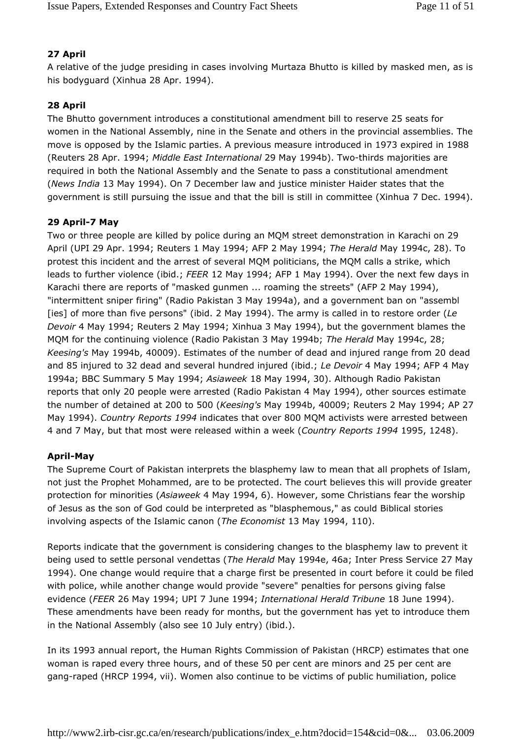## 27 April

A relative of the judge presiding in cases involving Murtaza Bhutto is killed by masked men, as is his bodyguard (Xinhua 28 Apr. 1994).

## 28 April

The Bhutto government introduces a constitutional amendment bill to reserve 25 seats for women in the National Assembly, nine in the Senate and others in the provincial assemblies. The move is opposed by the Islamic parties. A previous measure introduced in 1973 expired in 1988 (Reuters 28 Apr. 1994; Middle East International 29 May 1994b). Two-thirds majorities are required in both the National Assembly and the Senate to pass a constitutional amendment (News India 13 May 1994). On 7 December law and justice minister Haider states that the government is still pursuing the issue and that the bill is still in committee (Xinhua 7 Dec. 1994).

## 29 April-7 May

Two or three people are killed by police during an MQM street demonstration in Karachi on 29 April (UPI 29 Apr. 1994; Reuters 1 May 1994; AFP 2 May 1994; The Herald May 1994c, 28). To protest this incident and the arrest of several MQM politicians, the MQM calls a strike, which leads to further violence (ibid.; FEER 12 May 1994; AFP 1 May 1994). Over the next few days in Karachi there are reports of "masked gunmen ... roaming the streets" (AFP 2 May 1994), "intermittent sniper firing" (Radio Pakistan 3 May 1994a), and a government ban on "assembl [ies] of more than five persons" (ibid. 2 May 1994). The army is called in to restore order (Le Devoir 4 May 1994; Reuters 2 May 1994; Xinhua 3 May 1994), but the government blames the MQM for the continuing violence (Radio Pakistan 3 May 1994b; The Herald May 1994c, 28; Keesing's May 1994b, 40009). Estimates of the number of dead and injured range from 20 dead and 85 injured to 32 dead and several hundred injured (ibid.; Le Devoir 4 May 1994; AFP 4 May 1994a; BBC Summary 5 May 1994; Asiaweek 18 May 1994, 30). Although Radio Pakistan reports that only 20 people were arrested (Radio Pakistan 4 May 1994), other sources estimate the number of detained at 200 to 500 (Keesing's May 1994b, 40009; Reuters 2 May 1994; AP 27 May 1994). Country Reports 1994 indicates that over 800 MQM activists were arrested between 4 and 7 May, but that most were released within a week (Country Reports 1994 1995, 1248).

## April-May

The Supreme Court of Pakistan interprets the blasphemy law to mean that all prophets of Islam, not just the Prophet Mohammed, are to be protected. The court believes this will provide greater protection for minorities (Asiaweek 4 May 1994, 6). However, some Christians fear the worship of Jesus as the son of God could be interpreted as "blasphemous," as could Biblical stories involving aspects of the Islamic canon (The Economist 13 May 1994, 110).

Reports indicate that the government is considering changes to the blasphemy law to prevent it being used to settle personal vendettas (The Herald May 1994e, 46a; Inter Press Service 27 May 1994). One change would require that a charge first be presented in court before it could be filed with police, while another change would provide "severe" penalties for persons giving false evidence (FEER 26 May 1994; UPI 7 June 1994; International Herald Tribune 18 June 1994). These amendments have been ready for months, but the government has yet to introduce them in the National Assembly (also see 10 July entry) (ibid.).

In its 1993 annual report, the Human Rights Commission of Pakistan (HRCP) estimates that one woman is raped every three hours, and of these 50 per cent are minors and 25 per cent are gang-raped (HRCP 1994, vii). Women also continue to be victims of public humiliation, police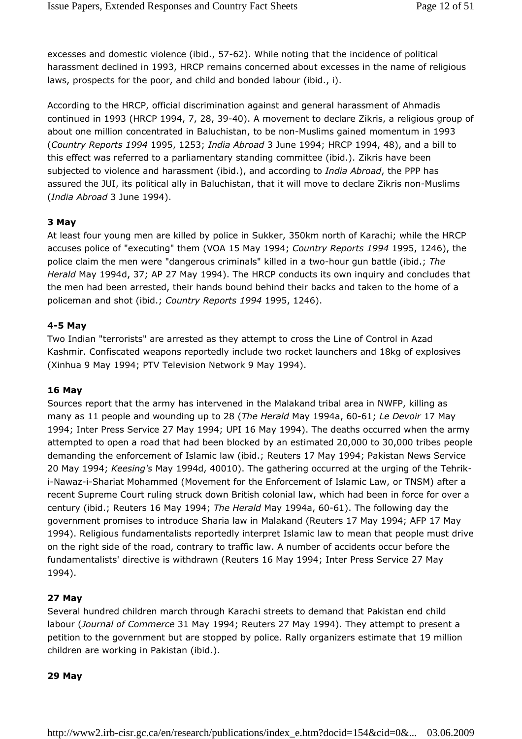excesses and domestic violence (ibid., 57-62). While noting that the incidence of political harassment declined in 1993, HRCP remains concerned about excesses in the name of religious laws, prospects for the poor, and child and bonded labour (ibid., i).

According to the HRCP, official discrimination against and general harassment of Ahmadis continued in 1993 (HRCP 1994, 7, 28, 39-40). A movement to declare Zikris, a religious group of about one million concentrated in Baluchistan, to be non-Muslims gained momentum in 1993 (Country Reports 1994 1995, 1253; India Abroad 3 June 1994; HRCP 1994, 48), and a bill to this effect was referred to a parliamentary standing committee (ibid.). Zikris have been subjected to violence and harassment (ibid.), and according to India Abroad, the PPP has assured the JUI, its political ally in Baluchistan, that it will move to declare Zikris non-Muslims (India Abroad 3 June 1994).

#### 3 May

At least four young men are killed by police in Sukker, 350km north of Karachi; while the HRCP accuses police of "executing" them (VOA 15 May 1994; Country Reports 1994 1995, 1246), the police claim the men were "dangerous criminals" killed in a two-hour gun battle (ibid.; The Herald May 1994d, 37; AP 27 May 1994). The HRCP conducts its own inquiry and concludes that the men had been arrested, their hands bound behind their backs and taken to the home of a policeman and shot (ibid.; Country Reports 1994 1995, 1246).

#### 4-5 May

Two Indian "terrorists" are arrested as they attempt to cross the Line of Control in Azad Kashmir. Confiscated weapons reportedly include two rocket launchers and 18kg of explosives (Xinhua 9 May 1994; PTV Television Network 9 May 1994).

#### 16 May

Sources report that the army has intervened in the Malakand tribal area in NWFP, killing as many as 11 people and wounding up to 28 (The Herald May 1994a, 60-61; Le Devoir 17 May 1994; Inter Press Service 27 May 1994; UPI 16 May 1994). The deaths occurred when the army attempted to open a road that had been blocked by an estimated 20,000 to 30,000 tribes people demanding the enforcement of Islamic law (ibid.; Reuters 17 May 1994; Pakistan News Service 20 May 1994; Keesing's May 1994d, 40010). The gathering occurred at the urging of the Tehriki-Nawaz-i-Shariat Mohammed (Movement for the Enforcement of Islamic Law, or TNSM) after a recent Supreme Court ruling struck down British colonial law, which had been in force for over a century (ibid.; Reuters 16 May 1994; The Herald May 1994a, 60-61). The following day the government promises to introduce Sharia law in Malakand (Reuters 17 May 1994; AFP 17 May 1994). Religious fundamentalists reportedly interpret Islamic law to mean that people must drive on the right side of the road, contrary to traffic law. A number of accidents occur before the fundamentalists' directive is withdrawn (Reuters 16 May 1994; Inter Press Service 27 May 1994).

## 27 May

Several hundred children march through Karachi streets to demand that Pakistan end child labour (Journal of Commerce 31 May 1994; Reuters 27 May 1994). They attempt to present a petition to the government but are stopped by police. Rally organizers estimate that 19 million children are working in Pakistan (ibid.).

#### 29 May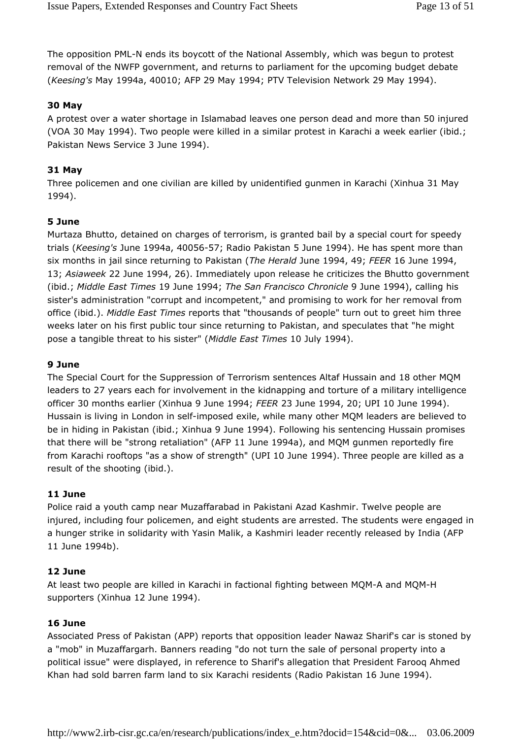The opposition PML-N ends its boycott of the National Assembly, which was begun to protest removal of the NWFP government, and returns to parliament for the upcoming budget debate (Keesing's May 1994a, 40010; AFP 29 May 1994; PTV Television Network 29 May 1994).

## 30 May

A protest over a water shortage in Islamabad leaves one person dead and more than 50 injured (VOA 30 May 1994). Two people were killed in a similar protest in Karachi a week earlier (ibid.; Pakistan News Service 3 June 1994).

## 31 May

Three policemen and one civilian are killed by unidentified gunmen in Karachi (Xinhua 31 May 1994).

## 5 June

Murtaza Bhutto, detained on charges of terrorism, is granted bail by a special court for speedy trials (Keesing's June 1994a, 40056-57; Radio Pakistan 5 June 1994). He has spent more than six months in jail since returning to Pakistan (The Herald June 1994, 49; FEER 16 June 1994, 13; Asiaweek 22 June 1994, 26). Immediately upon release he criticizes the Bhutto government (ibid.; Middle East Times 19 June 1994; The San Francisco Chronicle 9 June 1994), calling his sister's administration "corrupt and incompetent," and promising to work for her removal from office (ibid.). Middle East Times reports that "thousands of people" turn out to greet him three weeks later on his first public tour since returning to Pakistan, and speculates that "he might pose a tangible threat to his sister" (Middle East Times 10 July 1994).

## 9 June

The Special Court for the Suppression of Terrorism sentences Altaf Hussain and 18 other MQM leaders to 27 years each for involvement in the kidnapping and torture of a military intelligence officer 30 months earlier (Xinhua 9 June 1994; FEER 23 June 1994, 20; UPI 10 June 1994). Hussain is living in London in self-imposed exile, while many other MQM leaders are believed to be in hiding in Pakistan (ibid.; Xinhua 9 June 1994). Following his sentencing Hussain promises that there will be "strong retaliation" (AFP 11 June 1994a), and MQM gunmen reportedly fire from Karachi rooftops "as a show of strength" (UPI 10 June 1994). Three people are killed as a result of the shooting (ibid.).

## 11 June

Police raid a youth camp near Muzaffarabad in Pakistani Azad Kashmir. Twelve people are injured, including four policemen, and eight students are arrested. The students were engaged in a hunger strike in solidarity with Yasin Malik, a Kashmiri leader recently released by India (AFP 11 June 1994b).

## 12 June

At least two people are killed in Karachi in factional fighting between MQM-A and MQM-H supporters (Xinhua 12 June 1994).

## 16 June

Associated Press of Pakistan (APP) reports that opposition leader Nawaz Sharif's car is stoned by a "mob" in Muzaffargarh. Banners reading "do not turn the sale of personal property into a political issue" were displayed, in reference to Sharif's allegation that President Farooq Ahmed Khan had sold barren farm land to six Karachi residents (Radio Pakistan 16 June 1994).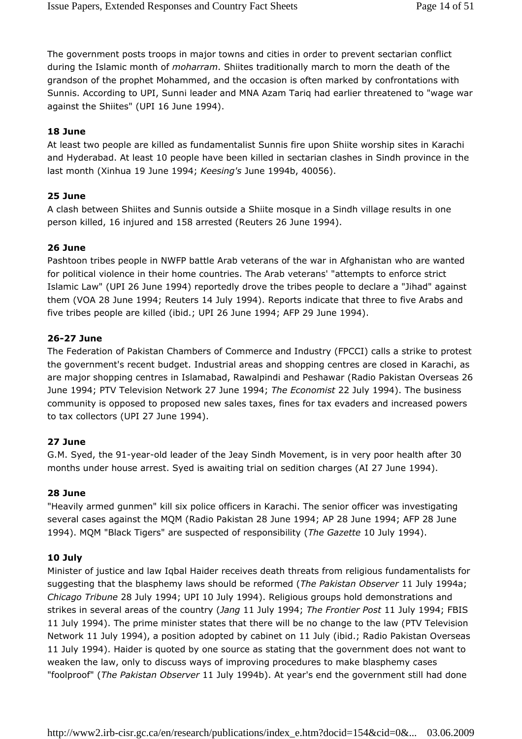The government posts troops in major towns and cities in order to prevent sectarian conflict during the Islamic month of *moharram*. Shiites traditionally march to morn the death of the grandson of the prophet Mohammed, and the occasion is often marked by confrontations with Sunnis. According to UPI, Sunni leader and MNA Azam Tariq had earlier threatened to "wage war against the Shiites" (UPI 16 June 1994).

## 18 June

At least two people are killed as fundamentalist Sunnis fire upon Shiite worship sites in Karachi and Hyderabad. At least 10 people have been killed in sectarian clashes in Sindh province in the last month (Xinhua 19 June 1994; Keesing's June 1994b, 40056).

## 25 June

A clash between Shiites and Sunnis outside a Shiite mosque in a Sindh village results in one person killed, 16 injured and 158 arrested (Reuters 26 June 1994).

## 26 June

Pashtoon tribes people in NWFP battle Arab veterans of the war in Afghanistan who are wanted for political violence in their home countries. The Arab veterans' "attempts to enforce strict Islamic Law" (UPI 26 June 1994) reportedly drove the tribes people to declare a "Jihad" against them (VOA 28 June 1994; Reuters 14 July 1994). Reports indicate that three to five Arabs and five tribes people are killed (ibid.; UPI 26 June 1994; AFP 29 June 1994).

## 26-27 June

The Federation of Pakistan Chambers of Commerce and Industry (FPCCI) calls a strike to protest the government's recent budget. Industrial areas and shopping centres are closed in Karachi, as are major shopping centres in Islamabad, Rawalpindi and Peshawar (Radio Pakistan Overseas 26 June 1994; PTV Television Network 27 June 1994; The Economist 22 July 1994). The business community is opposed to proposed new sales taxes, fines for tax evaders and increased powers to tax collectors (UPI 27 June 1994).

## 27 June

G.M. Syed, the 91-year-old leader of the Jeay Sindh Movement, is in very poor health after 30 months under house arrest. Syed is awaiting trial on sedition charges (AI 27 June 1994).

## 28 June

"Heavily armed gunmen" kill six police officers in Karachi. The senior officer was investigating several cases against the MQM (Radio Pakistan 28 June 1994; AP 28 June 1994; AFP 28 June 1994). MQM "Black Tigers" are suspected of responsibility (The Gazette 10 July 1994).

## 10 July

Minister of justice and law Iqbal Haider receives death threats from religious fundamentalists for suggesting that the blasphemy laws should be reformed (The Pakistan Observer 11 July 1994a; Chicago Tribune 28 July 1994; UPI 10 July 1994). Religious groups hold demonstrations and strikes in several areas of the country (Jang 11 July 1994; The Frontier Post 11 July 1994; FBIS 11 July 1994). The prime minister states that there will be no change to the law (PTV Television Network 11 July 1994), a position adopted by cabinet on 11 July (ibid.; Radio Pakistan Overseas 11 July 1994). Haider is quoted by one source as stating that the government does not want to weaken the law, only to discuss ways of improving procedures to make blasphemy cases "foolproof" (The Pakistan Observer 11 July 1994b). At year's end the government still had done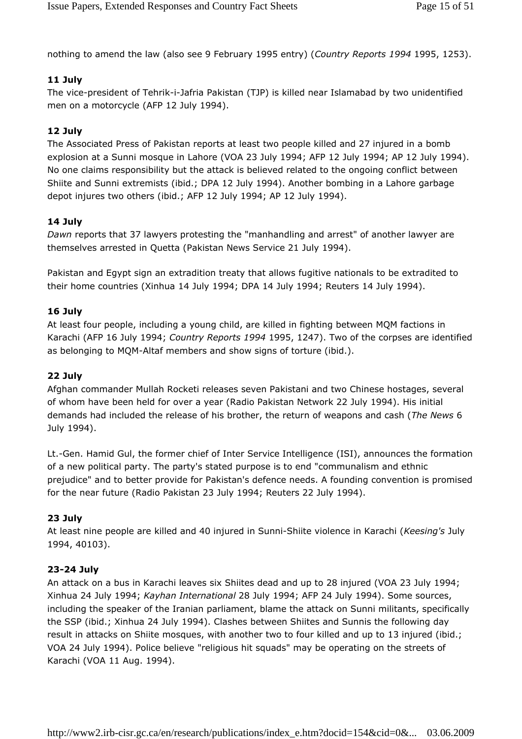nothing to amend the law (also see 9 February 1995 entry) (Country Reports 1994 1995, 1253).

## 11 July

The vice-president of Tehrik-i-Jafria Pakistan (TJP) is killed near Islamabad by two unidentified men on a motorcycle (AFP 12 July 1994).

## 12 July

The Associated Press of Pakistan reports at least two people killed and 27 injured in a bomb explosion at a Sunni mosque in Lahore (VOA 23 July 1994; AFP 12 July 1994; AP 12 July 1994). No one claims responsibility but the attack is believed related to the ongoing conflict between Shiite and Sunni extremists (ibid.; DPA 12 July 1994). Another bombing in a Lahore garbage depot injures two others (ibid.; AFP 12 July 1994; AP 12 July 1994).

## 14 July

Dawn reports that 37 lawyers protesting the "manhandling and arrest" of another lawyer are themselves arrested in Quetta (Pakistan News Service 21 July 1994).

Pakistan and Egypt sign an extradition treaty that allows fugitive nationals to be extradited to their home countries (Xinhua 14 July 1994; DPA 14 July 1994; Reuters 14 July 1994).

## 16 July

At least four people, including a young child, are killed in fighting between MQM factions in Karachi (AFP 16 July 1994; Country Reports 1994 1995, 1247). Two of the corpses are identified as belonging to MQM-Altaf members and show signs of torture (ibid.).

## 22 July

Afghan commander Mullah Rocketi releases seven Pakistani and two Chinese hostages, several of whom have been held for over a year (Radio Pakistan Network 22 July 1994). His initial demands had included the release of his brother, the return of weapons and cash (The News 6 July 1994).

Lt.-Gen. Hamid Gul, the former chief of Inter Service Intelligence (ISI), announces the formation of a new political party. The party's stated purpose is to end "communalism and ethnic prejudice" and to better provide for Pakistan's defence needs. A founding convention is promised for the near future (Radio Pakistan 23 July 1994; Reuters 22 July 1994).

## 23 July

At least nine people are killed and 40 injured in Sunni-Shiite violence in Karachi (Keesing's July 1994, 40103).

## 23-24 July

An attack on a bus in Karachi leaves six Shiites dead and up to 28 injured (VOA 23 July 1994; Xinhua 24 July 1994; Kayhan International 28 July 1994; AFP 24 July 1994). Some sources, including the speaker of the Iranian parliament, blame the attack on Sunni militants, specifically the SSP (ibid.; Xinhua 24 July 1994). Clashes between Shiites and Sunnis the following day result in attacks on Shiite mosques, with another two to four killed and up to 13 injured (ibid.; VOA 24 July 1994). Police believe "religious hit squads" may be operating on the streets of Karachi (VOA 11 Aug. 1994).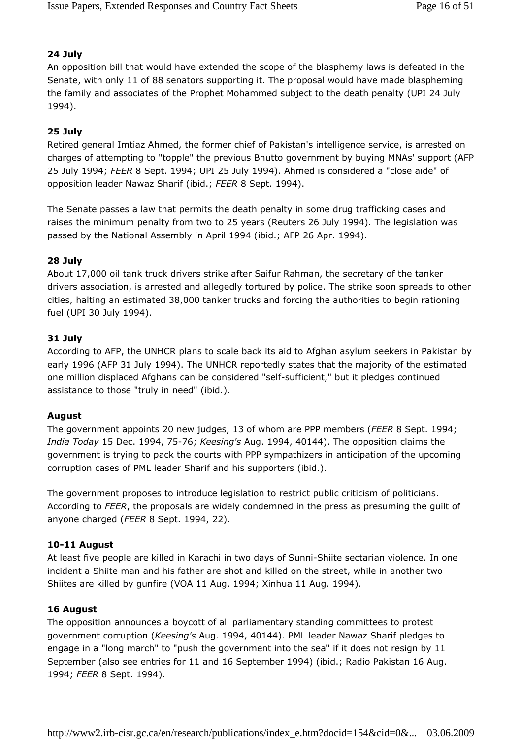#### 24 July

An opposition bill that would have extended the scope of the blasphemy laws is defeated in the Senate, with only 11 of 88 senators supporting it. The proposal would have made blaspheming the family and associates of the Prophet Mohammed subject to the death penalty (UPI 24 July 1994).

### 25 July

Retired general Imtiaz Ahmed, the former chief of Pakistan's intelligence service, is arrested on charges of attempting to "topple" the previous Bhutto government by buying MNAs' support (AFP 25 July 1994; FEER 8 Sept. 1994; UPI 25 July 1994). Ahmed is considered a "close aide" of opposition leader Nawaz Sharif (ibid.; FEER 8 Sept. 1994).

The Senate passes a law that permits the death penalty in some drug trafficking cases and raises the minimum penalty from two to 25 years (Reuters 26 July 1994). The legislation was passed by the National Assembly in April 1994 (ibid.; AFP 26 Apr. 1994).

#### 28 July

About 17,000 oil tank truck drivers strike after Saifur Rahman, the secretary of the tanker drivers association, is arrested and allegedly tortured by police. The strike soon spreads to other cities, halting an estimated 38,000 tanker trucks and forcing the authorities to begin rationing fuel (UPI 30 July 1994).

#### 31 July

According to AFP, the UNHCR plans to scale back its aid to Afghan asylum seekers in Pakistan by early 1996 (AFP 31 July 1994). The UNHCR reportedly states that the majority of the estimated one million displaced Afghans can be considered "self-sufficient," but it pledges continued assistance to those "truly in need" (ibid.).

#### August

The government appoints 20 new judges, 13 of whom are PPP members (FEER 8 Sept. 1994; India Today 15 Dec. 1994, 75-76; Keesing's Aug. 1994, 40144). The opposition claims the government is trying to pack the courts with PPP sympathizers in anticipation of the upcoming corruption cases of PML leader Sharif and his supporters (ibid.).

The government proposes to introduce legislation to restrict public criticism of politicians. According to FEER, the proposals are widely condemned in the press as presuming the guilt of anyone charged (FEER 8 Sept. 1994, 22).

#### 10-11 August

At least five people are killed in Karachi in two days of Sunni-Shiite sectarian violence. In one incident a Shiite man and his father are shot and killed on the street, while in another two Shiites are killed by gunfire (VOA 11 Aug. 1994; Xinhua 11 Aug. 1994).

#### 16 August

The opposition announces a boycott of all parliamentary standing committees to protest government corruption (Keesing's Aug. 1994, 40144). PML leader Nawaz Sharif pledges to engage in a "long march" to "push the government into the sea" if it does not resign by 11 September (also see entries for 11 and 16 September 1994) (ibid.; Radio Pakistan 16 Aug. 1994; FEER 8 Sept. 1994).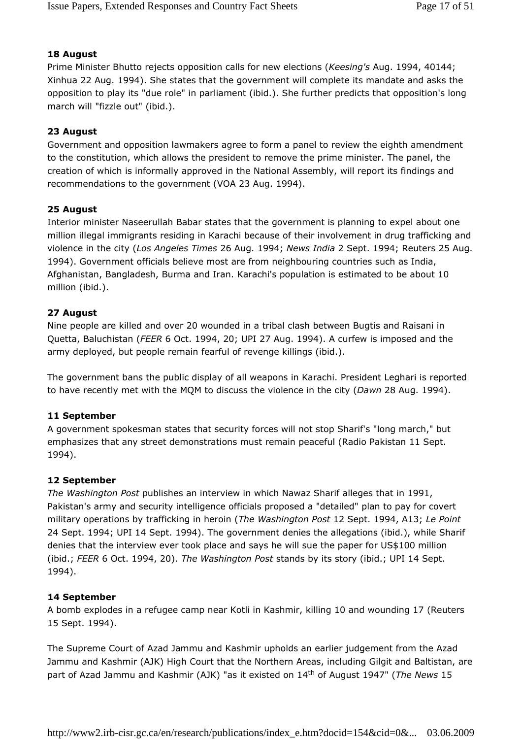## 18 August

Prime Minister Bhutto rejects opposition calls for new elections (Keesing's Aug. 1994, 40144; Xinhua 22 Aug. 1994). She states that the government will complete its mandate and asks the opposition to play its "due role" in parliament (ibid.). She further predicts that opposition's long march will "fizzle out" (ibid.).

## 23 August

Government and opposition lawmakers agree to form a panel to review the eighth amendment to the constitution, which allows the president to remove the prime minister. The panel, the creation of which is informally approved in the National Assembly, will report its findings and recommendations to the government (VOA 23 Aug. 1994).

## 25 August

Interior minister Naseerullah Babar states that the government is planning to expel about one million illegal immigrants residing in Karachi because of their involvement in drug trafficking and violence in the city (Los Angeles Times 26 Aug. 1994; News India 2 Sept. 1994; Reuters 25 Aug. 1994). Government officials believe most are from neighbouring countries such as India, Afghanistan, Bangladesh, Burma and Iran. Karachi's population is estimated to be about 10 million (ibid.).

## 27 August

Nine people are killed and over 20 wounded in a tribal clash between Bugtis and Raisani in Quetta, Baluchistan (FEER 6 Oct. 1994, 20; UPI 27 Aug. 1994). A curfew is imposed and the army deployed, but people remain fearful of revenge killings (ibid.).

The government bans the public display of all weapons in Karachi. President Leghari is reported to have recently met with the MQM to discuss the violence in the city (Dawn 28 Aug. 1994).

## 11 September

A government spokesman states that security forces will not stop Sharif's "long march," but emphasizes that any street demonstrations must remain peaceful (Radio Pakistan 11 Sept. 1994).

## 12 September

The Washington Post publishes an interview in which Nawaz Sharif alleges that in 1991, Pakistan's army and security intelligence officials proposed a "detailed" plan to pay for covert military operations by trafficking in heroin (The Washington Post 12 Sept. 1994, A13; Le Point 24 Sept. 1994; UPI 14 Sept. 1994). The government denies the allegations (ibid.), while Sharif denies that the interview ever took place and says he will sue the paper for US\$100 million (ibid.; FEER 6 Oct. 1994, 20). The Washington Post stands by its story (ibid.; UPI 14 Sept. 1994).

## 14 September

A bomb explodes in a refugee camp near Kotli in Kashmir, killing 10 and wounding 17 (Reuters 15 Sept. 1994).

The Supreme Court of Azad Jammu and Kashmir upholds an earlier judgement from the Azad Jammu and Kashmir (AJK) High Court that the Northern Areas, including Gilgit and Baltistan, are part of Azad Jammu and Kashmir (AJK) "as it existed on 14<sup>th</sup> of August 1947" (The News 15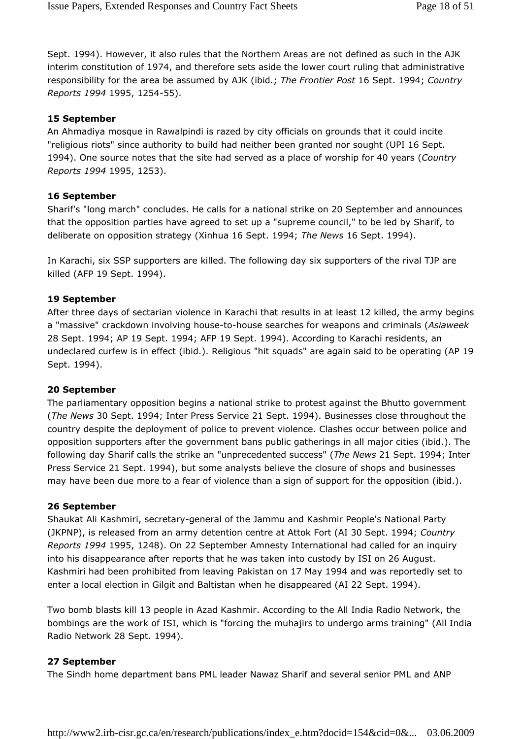Sept. 1994). However, it also rules that the Northern Areas are not defined as such in the AJK interim constitution of 1974, and therefore sets aside the lower court ruling that administrative responsibility for the area be assumed by AJK (ibid.; The Frontier Post 16 Sept. 1994; Country Reports 1994 1995, 1254-55).

#### 15 September

An Ahmadiya mosque in Rawalpindi is razed by city officials on grounds that it could incite "religious riots" since authority to build had neither been granted nor sought (UPI 16 Sept. 1994). One source notes that the site had served as a place of worship for 40 years (Country Reports 1994 1995, 1253).

#### 16 September

Sharif's "long march" concludes. He calls for a national strike on 20 September and announces that the opposition parties have agreed to set up a "supreme council," to be led by Sharif, to deliberate on opposition strategy (Xinhua 16 Sept. 1994; The News 16 Sept. 1994).

In Karachi, six SSP supporters are killed. The following day six supporters of the rival TJP are killed (AFP 19 Sept. 1994).

#### 19 September

After three days of sectarian violence in Karachi that results in at least 12 killed, the army begins a "massive" crackdown involving house-to-house searches for weapons and criminals (Asiaweek 28 Sept. 1994; AP 19 Sept. 1994; AFP 19 Sept. 1994). According to Karachi residents, an undeclared curfew is in effect (ibid.). Religious "hit squads" are again said to be operating (AP 19 Sept. 1994).

#### 20 September

The parliamentary opposition begins a national strike to protest against the Bhutto government (The News 30 Sept. 1994; Inter Press Service 21 Sept. 1994). Businesses close throughout the country despite the deployment of police to prevent violence. Clashes occur between police and opposition supporters after the government bans public gatherings in all major cities (ibid.). The following day Sharif calls the strike an "unprecedented success" (The News 21 Sept. 1994; Inter Press Service 21 Sept. 1994), but some analysts believe the closure of shops and businesses may have been due more to a fear of violence than a sign of support for the opposition (ibid.).

#### 26 September

Shaukat Ali Kashmiri, secretary-general of the Jammu and Kashmir People's National Party (JKPNP), is released from an army detention centre at Attok Fort (AI 30 Sept. 1994; Country Reports 1994 1995, 1248). On 22 September Amnesty International had called for an inquiry into his disappearance after reports that he was taken into custody by ISI on 26 August. Kashmiri had been prohibited from leaving Pakistan on 17 May 1994 and was reportedly set to enter a local election in Gilgit and Baltistan when he disappeared (AI 22 Sept. 1994).

Two bomb blasts kill 13 people in Azad Kashmir. According to the All India Radio Network, the bombings are the work of ISI, which is "forcing the muhajirs to undergo arms training" (All India Radio Network 28 Sept. 1994).

#### 27 September

The Sindh home department bans PML leader Nawaz Sharif and several senior PML and ANP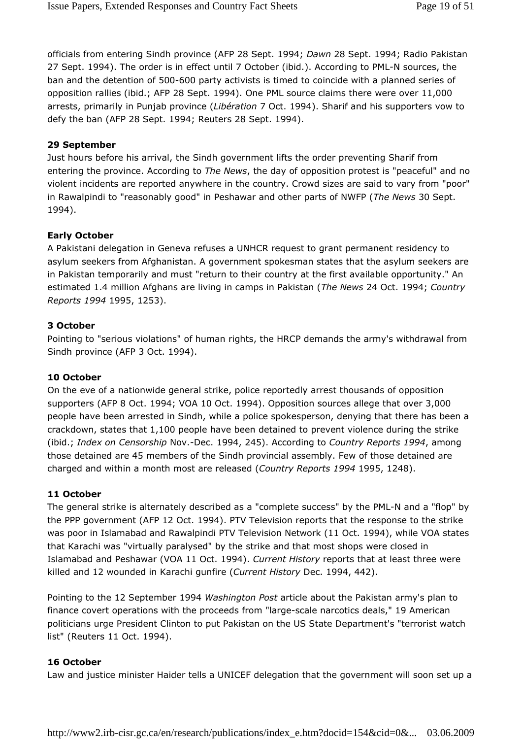officials from entering Sindh province (AFP 28 Sept. 1994; Dawn 28 Sept. 1994; Radio Pakistan 27 Sept. 1994). The order is in effect until 7 October (ibid.). According to PML-N sources, the ban and the detention of 500-600 party activists is timed to coincide with a planned series of opposition rallies (ibid.; AFP 28 Sept. 1994). One PML source claims there were over 11,000 arrests, primarily in Punjab province (Libération 7 Oct. 1994). Sharif and his supporters vow to defy the ban (AFP 28 Sept. 1994; Reuters 28 Sept. 1994).

#### 29 September

Just hours before his arrival, the Sindh government lifts the order preventing Sharif from entering the province. According to The News, the day of opposition protest is "peaceful" and no violent incidents are reported anywhere in the country. Crowd sizes are said to vary from "poor" in Rawalpindi to "reasonably good" in Peshawar and other parts of NWFP (The News 30 Sept. 1994).

#### Early October

A Pakistani delegation in Geneva refuses a UNHCR request to grant permanent residency to asylum seekers from Afghanistan. A government spokesman states that the asylum seekers are in Pakistan temporarily and must "return to their country at the first available opportunity." An estimated 1.4 million Afghans are living in camps in Pakistan (The News 24 Oct. 1994; Country Reports 1994 1995, 1253).

#### 3 October

Pointing to "serious violations" of human rights, the HRCP demands the army's withdrawal from Sindh province (AFP 3 Oct. 1994).

#### 10 October

On the eve of a nationwide general strike, police reportedly arrest thousands of opposition supporters (AFP 8 Oct. 1994; VOA 10 Oct. 1994). Opposition sources allege that over 3,000 people have been arrested in Sindh, while a police spokesperson, denying that there has been a crackdown, states that 1,100 people have been detained to prevent violence during the strike (ibid.; Index on Censorship Nov.-Dec. 1994, 245). According to Country Reports 1994, among those detained are 45 members of the Sindh provincial assembly. Few of those detained are charged and within a month most are released (Country Reports 1994 1995, 1248).

#### 11 October

The general strike is alternately described as a "complete success" by the PML-N and a "flop" by the PPP government (AFP 12 Oct. 1994). PTV Television reports that the response to the strike was poor in Islamabad and Rawalpindi PTV Television Network (11 Oct. 1994), while VOA states that Karachi was "virtually paralysed" by the strike and that most shops were closed in Islamabad and Peshawar (VOA 11 Oct. 1994). Current History reports that at least three were killed and 12 wounded in Karachi gunfire (Current History Dec. 1994, 442).

Pointing to the 12 September 1994 Washington Post article about the Pakistan army's plan to finance covert operations with the proceeds from "large-scale narcotics deals," 19 American politicians urge President Clinton to put Pakistan on the US State Department's "terrorist watch list" (Reuters 11 Oct. 1994).

#### 16 October

Law and justice minister Haider tells a UNICEF delegation that the government will soon set up a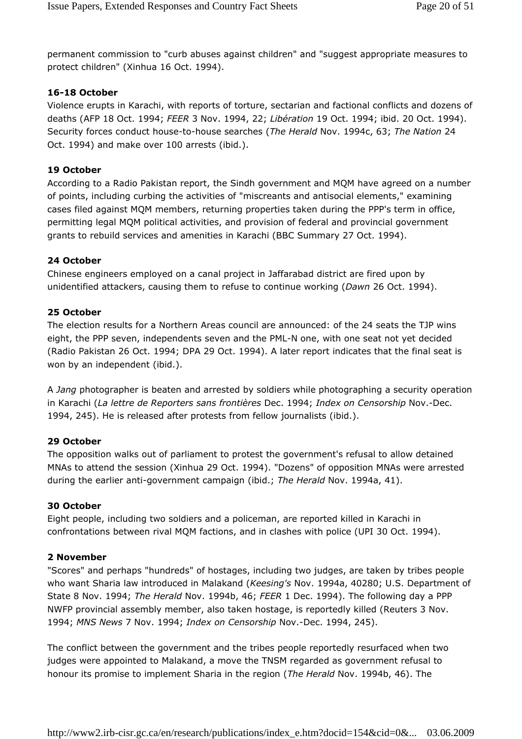permanent commission to "curb abuses against children" and "suggest appropriate measures to protect children" (Xinhua 16 Oct. 1994).

#### 16-18 October

Violence erupts in Karachi, with reports of torture, sectarian and factional conflicts and dozens of deaths (AFP 18 Oct. 1994; FEER 3 Nov. 1994, 22; Libération 19 Oct. 1994; ibid. 20 Oct. 1994). Security forces conduct house-to-house searches (The Herald Nov. 1994c, 63; The Nation 24 Oct. 1994) and make over 100 arrests (ibid.).

#### 19 October

According to a Radio Pakistan report, the Sindh government and MQM have agreed on a number of points, including curbing the activities of "miscreants and antisocial elements," examining cases filed against MQM members, returning properties taken during the PPP's term in office, permitting legal MQM political activities, and provision of federal and provincial government grants to rebuild services and amenities in Karachi (BBC Summary 27 Oct. 1994).

#### 24 October

Chinese engineers employed on a canal project in Jaffarabad district are fired upon by unidentified attackers, causing them to refuse to continue working (Dawn 26 Oct. 1994).

#### 25 October

The election results for a Northern Areas council are announced: of the 24 seats the TJP wins eight, the PPP seven, independents seven and the PML-N one, with one seat not yet decided (Radio Pakistan 26 Oct. 1994; DPA 29 Oct. 1994). A later report indicates that the final seat is won by an independent (ibid.).

A Jang photographer is beaten and arrested by soldiers while photographing a security operation in Karachi (La lettre de Reporters sans frontières Dec. 1994; Index on Censorship Nov.-Dec. 1994, 245). He is released after protests from fellow journalists (ibid.).

#### 29 October

The opposition walks out of parliament to protest the government's refusal to allow detained MNAs to attend the session (Xinhua 29 Oct. 1994). "Dozens" of opposition MNAs were arrested during the earlier anti-government campaign (ibid.; The Herald Nov. 1994a, 41).

#### 30 October

Eight people, including two soldiers and a policeman, are reported killed in Karachi in confrontations between rival MQM factions, and in clashes with police (UPI 30 Oct. 1994).

#### 2 November

"Scores" and perhaps "hundreds" of hostages, including two judges, are taken by tribes people who want Sharia law introduced in Malakand (Keesing's Nov. 1994a, 40280; U.S. Department of State 8 Nov. 1994; The Herald Nov. 1994b, 46; FEER 1 Dec. 1994). The following day a PPP NWFP provincial assembly member, also taken hostage, is reportedly killed (Reuters 3 Nov. 1994; MNS News 7 Nov. 1994; Index on Censorship Nov.-Dec. 1994, 245).

The conflict between the government and the tribes people reportedly resurfaced when two judges were appointed to Malakand, a move the TNSM regarded as government refusal to honour its promise to implement Sharia in the region (The Herald Nov. 1994b, 46). The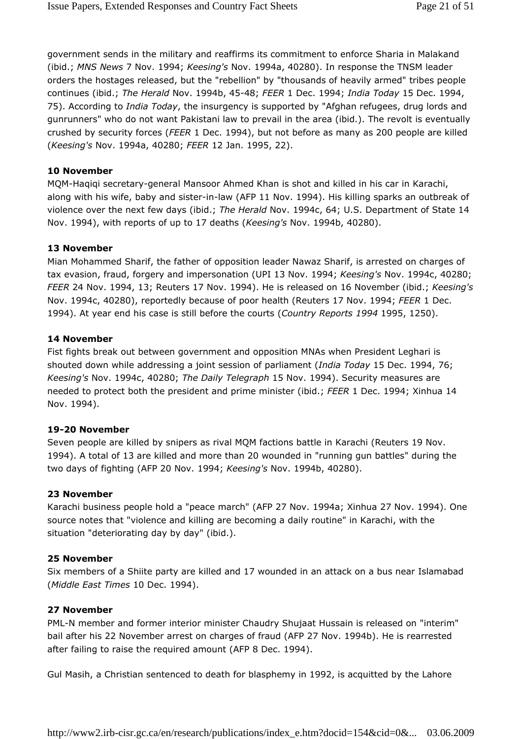government sends in the military and reaffirms its commitment to enforce Sharia in Malakand (ibid.; MNS News 7 Nov. 1994; Keesing's Nov. 1994a, 40280). In response the TNSM leader orders the hostages released, but the "rebellion" by "thousands of heavily armed" tribes people continues (ibid.; The Herald Nov. 1994b, 45-48; FEER 1 Dec. 1994; India Today 15 Dec. 1994, 75). According to India Today, the insurgency is supported by "Afghan refugees, drug lords and gunrunners" who do not want Pakistani law to prevail in the area (ibid.). The revolt is eventually crushed by security forces (FEER 1 Dec. 1994), but not before as many as 200 people are killed (Keesing's Nov. 1994a, 40280; FEER 12 Jan. 1995, 22).

#### 10 November

MQM-Haqiqi secretary-general Mansoor Ahmed Khan is shot and killed in his car in Karachi, along with his wife, baby and sister-in-law (AFP 11 Nov. 1994). His killing sparks an outbreak of violence over the next few days (ibid.; The Herald Nov. 1994c, 64; U.S. Department of State 14 Nov. 1994), with reports of up to 17 deaths (Keesing's Nov. 1994b, 40280).

#### 13 November

Mian Mohammed Sharif, the father of opposition leader Nawaz Sharif, is arrested on charges of tax evasion, fraud, forgery and impersonation (UPI 13 Nov. 1994; Keesing's Nov. 1994c, 40280; FEER 24 Nov. 1994, 13; Reuters 17 Nov. 1994). He is released on 16 November (ibid.; Keesing's Nov. 1994c, 40280), reportedly because of poor health (Reuters 17 Nov. 1994; FEER 1 Dec. 1994). At year end his case is still before the courts (Country Reports 1994 1995, 1250).

#### 14 November

Fist fights break out between government and opposition MNAs when President Leghari is shouted down while addressing a joint session of parliament (India Today 15 Dec. 1994, 76; Keesing's Nov. 1994c, 40280; The Daily Telegraph 15 Nov. 1994). Security measures are needed to protect both the president and prime minister (ibid.; FEER 1 Dec. 1994; Xinhua 14 Nov. 1994).

#### 19-20 November

Seven people are killed by snipers as rival MQM factions battle in Karachi (Reuters 19 Nov. 1994). A total of 13 are killed and more than 20 wounded in "running gun battles" during the two days of fighting (AFP 20 Nov. 1994; Keesing's Nov. 1994b, 40280).

#### 23 November

Karachi business people hold a "peace march" (AFP 27 Nov. 1994a; Xinhua 27 Nov. 1994). One source notes that "violence and killing are becoming a daily routine" in Karachi, with the situation "deteriorating day by day" (ibid.).

#### 25 November

Six members of a Shiite party are killed and 17 wounded in an attack on a bus near Islamabad (Middle East Times 10 Dec. 1994).

#### 27 November

PML-N member and former interior minister Chaudry Shujaat Hussain is released on "interim" bail after his 22 November arrest on charges of fraud (AFP 27 Nov. 1994b). He is rearrested after failing to raise the required amount (AFP 8 Dec. 1994).

Gul Masih, a Christian sentenced to death for blasphemy in 1992, is acquitted by the Lahore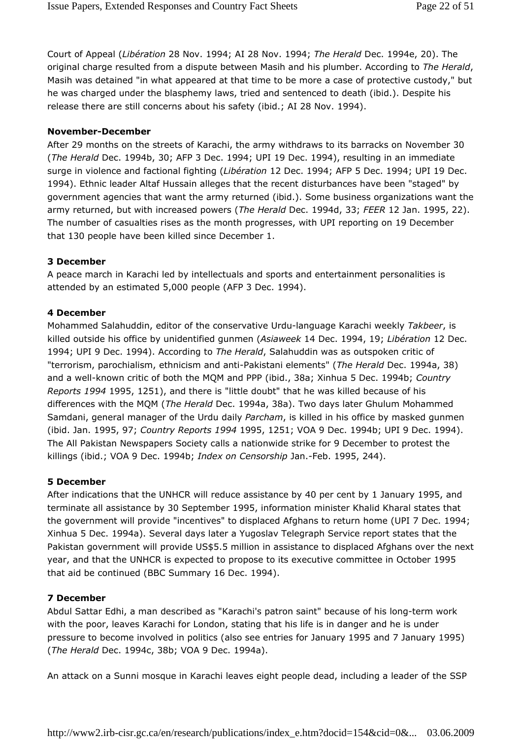Court of Appeal (Libération 28 Nov. 1994; AI 28 Nov. 1994; The Herald Dec. 1994e, 20). The original charge resulted from a dispute between Masih and his plumber. According to The Herald, Masih was detained "in what appeared at that time to be more a case of protective custody," but he was charged under the blasphemy laws, tried and sentenced to death (ibid.). Despite his release there are still concerns about his safety (ibid.; AI 28 Nov. 1994).

#### November-December

After 29 months on the streets of Karachi, the army withdraws to its barracks on November 30 (The Herald Dec. 1994b, 30; AFP 3 Dec. 1994; UPI 19 Dec. 1994), resulting in an immediate surge in violence and factional fighting (Libération 12 Dec. 1994; AFP 5 Dec. 1994; UPI 19 Dec. 1994). Ethnic leader Altaf Hussain alleges that the recent disturbances have been "staged" by government agencies that want the army returned (ibid.). Some business organizations want the army returned, but with increased powers (The Herald Dec. 1994d, 33; FEER 12 Jan. 1995, 22). The number of casualties rises as the month progresses, with UPI reporting on 19 December that 130 people have been killed since December 1.

#### 3 December

A peace march in Karachi led by intellectuals and sports and entertainment personalities is attended by an estimated 5,000 people (AFP 3 Dec. 1994).

#### 4 December

Mohammed Salahuddin, editor of the conservative Urdu-language Karachi weekly Takbeer, is killed outside his office by unidentified gunmen (Asiaweek 14 Dec. 1994, 19; Libération 12 Dec. 1994; UPI 9 Dec. 1994). According to The Herald, Salahuddin was as outspoken critic of "terrorism, parochialism, ethnicism and anti-Pakistani elements" (The Herald Dec. 1994a, 38) and a well-known critic of both the MQM and PPP (ibid., 38a; Xinhua 5 Dec. 1994b; Country Reports 1994 1995, 1251), and there is "little doubt" that he was killed because of his differences with the MQM (The Herald Dec. 1994a, 38a). Two days later Ghulum Mohammed Samdani, general manager of the Urdu daily Parcham, is killed in his office by masked gunmen (ibid. Jan. 1995, 97; Country Reports 1994 1995, 1251; VOA 9 Dec. 1994b; UPI 9 Dec. 1994). The All Pakistan Newspapers Society calls a nationwide strike for 9 December to protest the killings (ibid.; VOA 9 Dec. 1994b; Index on Censorship Jan.-Feb. 1995, 244).

#### 5 December

After indications that the UNHCR will reduce assistance by 40 per cent by 1 January 1995, and terminate all assistance by 30 September 1995, information minister Khalid Kharal states that the government will provide "incentives" to displaced Afghans to return home (UPI 7 Dec. 1994; Xinhua 5 Dec. 1994a). Several days later a Yugoslav Telegraph Service report states that the Pakistan government will provide US\$5.5 million in assistance to displaced Afghans over the next year, and that the UNHCR is expected to propose to its executive committee in October 1995 that aid be continued (BBC Summary 16 Dec. 1994).

#### 7 December

Abdul Sattar Edhi, a man described as "Karachi's patron saint" because of his long-term work with the poor, leaves Karachi for London, stating that his life is in danger and he is under pressure to become involved in politics (also see entries for January 1995 and 7 January 1995) (The Herald Dec. 1994c, 38b; VOA 9 Dec. 1994a).

An attack on a Sunni mosque in Karachi leaves eight people dead, including a leader of the SSP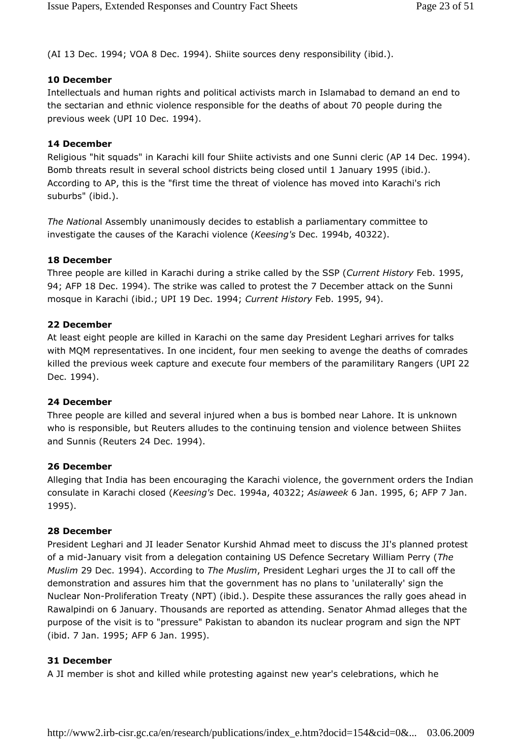(AI 13 Dec. 1994; VOA 8 Dec. 1994). Shiite sources deny responsibility (ibid.).

## 10 December

Intellectuals and human rights and political activists march in Islamabad to demand an end to the sectarian and ethnic violence responsible for the deaths of about 70 people during the previous week (UPI 10 Dec. 1994).

## 14 December

Religious "hit squads" in Karachi kill four Shiite activists and one Sunni cleric (AP 14 Dec. 1994). Bomb threats result in several school districts being closed until 1 January 1995 (ibid.). According to AP, this is the "first time the threat of violence has moved into Karachi's rich suburbs" (ibid.).

The National Assembly unanimously decides to establish a parliamentary committee to investigate the causes of the Karachi violence (Keesing's Dec. 1994b, 40322).

## 18 December

Three people are killed in Karachi during a strike called by the SSP (Current History Feb. 1995, 94; AFP 18 Dec. 1994). The strike was called to protest the 7 December attack on the Sunni mosque in Karachi (ibid.; UPI 19 Dec. 1994; Current History Feb. 1995, 94).

## 22 December

At least eight people are killed in Karachi on the same day President Leghari arrives for talks with MQM representatives. In one incident, four men seeking to avenge the deaths of comrades killed the previous week capture and execute four members of the paramilitary Rangers (UPI 22 Dec. 1994).

## 24 December

Three people are killed and several injured when a bus is bombed near Lahore. It is unknown who is responsible, but Reuters alludes to the continuing tension and violence between Shiites and Sunnis (Reuters 24 Dec. 1994).

## 26 December

Alleging that India has been encouraging the Karachi violence, the government orders the Indian consulate in Karachi closed (Keesing's Dec. 1994a, 40322; Asiaweek 6 Jan. 1995, 6; AFP 7 Jan. 1995).

## 28 December

President Leghari and JI leader Senator Kurshid Ahmad meet to discuss the JI's planned protest of a mid-January visit from a delegation containing US Defence Secretary William Perry (The Muslim 29 Dec. 1994). According to The Muslim, President Leghari urges the JI to call off the demonstration and assures him that the government has no plans to 'unilaterally' sign the Nuclear Non-Proliferation Treaty (NPT) (ibid.). Despite these assurances the rally goes ahead in Rawalpindi on 6 January. Thousands are reported as attending. Senator Ahmad alleges that the purpose of the visit is to "pressure" Pakistan to abandon its nuclear program and sign the NPT (ibid. 7 Jan. 1995; AFP 6 Jan. 1995).

## 31 December

A JI member is shot and killed while protesting against new year's celebrations, which he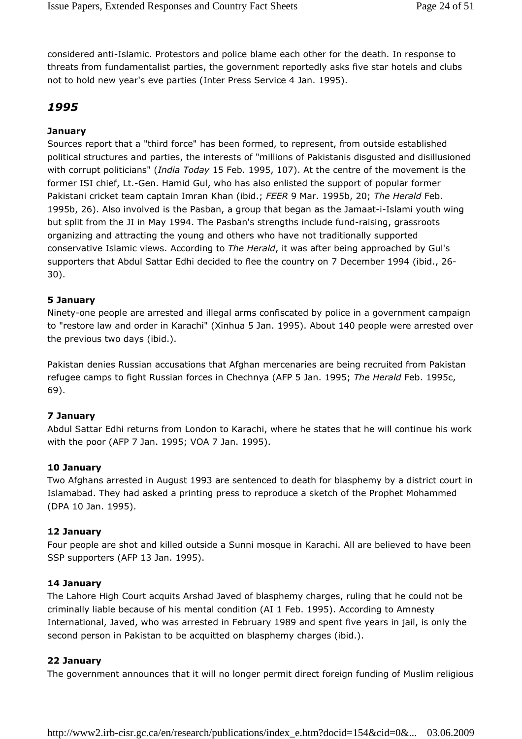considered anti-Islamic. Protestors and police blame each other for the death. In response to threats from fundamentalist parties, the government reportedly asks five star hotels and clubs not to hold new year's eve parties (Inter Press Service 4 Jan. 1995).

## 1995

## **January**

Sources report that a "third force" has been formed, to represent, from outside established political structures and parties, the interests of "millions of Pakistanis disgusted and disillusioned with corrupt politicians" (India Today 15 Feb. 1995, 107). At the centre of the movement is the former ISI chief, Lt.-Gen. Hamid Gul, who has also enlisted the support of popular former Pakistani cricket team captain Imran Khan (ibid.; FEER 9 Mar. 1995b, 20; The Herald Feb. 1995b, 26). Also involved is the Pasban, a group that began as the Jamaat-i-Islami youth wing but split from the JI in May 1994. The Pasban's strengths include fund-raising, grassroots organizing and attracting the young and others who have not traditionally supported conservative Islamic views. According to The Herald, it was after being approached by Gul's supporters that Abdul Sattar Edhi decided to flee the country on 7 December 1994 (ibid., 26- 30).

## 5 January

Ninety-one people are arrested and illegal arms confiscated by police in a government campaign to "restore law and order in Karachi" (Xinhua 5 Jan. 1995). About 140 people were arrested over the previous two days (ibid.).

Pakistan denies Russian accusations that Afghan mercenaries are being recruited from Pakistan refugee camps to fight Russian forces in Chechnya (AFP 5 Jan. 1995; The Herald Feb. 1995c, 69).

## 7 January

Abdul Sattar Edhi returns from London to Karachi, where he states that he will continue his work with the poor (AFP 7 Jan. 1995; VOA 7 Jan. 1995).

## 10 January

Two Afghans arrested in August 1993 are sentenced to death for blasphemy by a district court in Islamabad. They had asked a printing press to reproduce a sketch of the Prophet Mohammed (DPA 10 Jan. 1995).

## 12 January

Four people are shot and killed outside a Sunni mosque in Karachi. All are believed to have been SSP supporters (AFP 13 Jan. 1995).

#### 14 January

The Lahore High Court acquits Arshad Javed of blasphemy charges, ruling that he could not be criminally liable because of his mental condition (AI 1 Feb. 1995). According to Amnesty International, Javed, who was arrested in February 1989 and spent five years in jail, is only the second person in Pakistan to be acquitted on blasphemy charges (ibid.).

#### 22 January

The government announces that it will no longer permit direct foreign funding of Muslim religious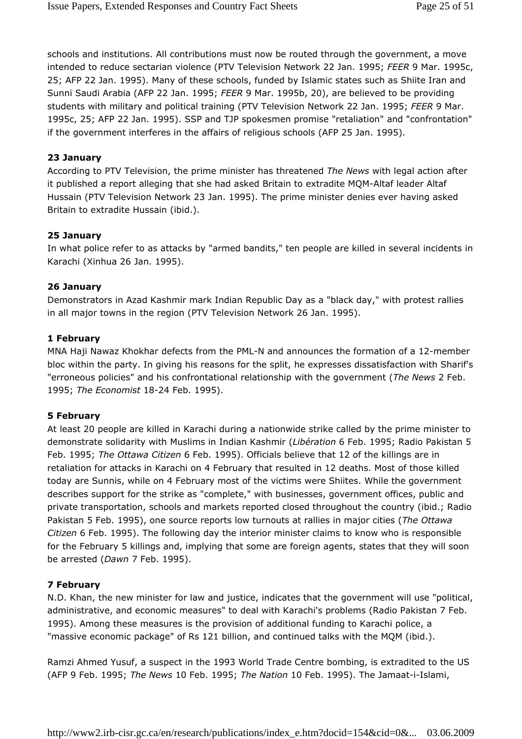schools and institutions. All contributions must now be routed through the government, a move intended to reduce sectarian violence (PTV Television Network 22 Jan. 1995; FEER 9 Mar. 1995c, 25; AFP 22 Jan. 1995). Many of these schools, funded by Islamic states such as Shiite Iran and Sunni Saudi Arabia (AFP 22 Jan. 1995; FEER 9 Mar. 1995b, 20), are believed to be providing students with military and political training (PTV Television Network 22 Jan. 1995; FEER 9 Mar. 1995c, 25; AFP 22 Jan. 1995). SSP and TJP spokesmen promise "retaliation" and "confrontation" if the government interferes in the affairs of religious schools (AFP 25 Jan. 1995).

#### 23 January

According to PTV Television, the prime minister has threatened The News with legal action after it published a report alleging that she had asked Britain to extradite MQM-Altaf leader Altaf Hussain (PTV Television Network 23 Jan. 1995). The prime minister denies ever having asked Britain to extradite Hussain (ibid.).

#### 25 January

In what police refer to as attacks by "armed bandits," ten people are killed in several incidents in Karachi (Xinhua 26 Jan. 1995).

#### 26 January

Demonstrators in Azad Kashmir mark Indian Republic Day as a "black day," with protest rallies in all major towns in the region (PTV Television Network 26 Jan. 1995).

#### 1 February

MNA Haji Nawaz Khokhar defects from the PML-N and announces the formation of a 12-member bloc within the party. In giving his reasons for the split, he expresses dissatisfaction with Sharif's "erroneous policies" and his confrontational relationship with the government (The News 2 Feb. 1995; The Economist 18-24 Feb. 1995).

#### 5 February

At least 20 people are killed in Karachi during a nationwide strike called by the prime minister to demonstrate solidarity with Muslims in Indian Kashmir (Libération 6 Feb. 1995; Radio Pakistan 5 Feb. 1995; The Ottawa Citizen 6 Feb. 1995). Officials believe that 12 of the killings are in retaliation for attacks in Karachi on 4 February that resulted in 12 deaths. Most of those killed today are Sunnis, while on 4 February most of the victims were Shiites. While the government describes support for the strike as "complete," with businesses, government offices, public and private transportation, schools and markets reported closed throughout the country (ibid.; Radio Pakistan 5 Feb. 1995), one source reports low turnouts at rallies in major cities (The Ottawa Citizen 6 Feb. 1995). The following day the interior minister claims to know who is responsible for the February 5 killings and, implying that some are foreign agents, states that they will soon be arrested (Dawn 7 Feb. 1995).

## 7 February

N.D. Khan, the new minister for law and justice, indicates that the government will use "political, administrative, and economic measures" to deal with Karachi's problems (Radio Pakistan 7 Feb. 1995). Among these measures is the provision of additional funding to Karachi police, a "massive economic package" of Rs 121 billion, and continued talks with the MQM (ibid.).

Ramzi Ahmed Yusuf, a suspect in the 1993 World Trade Centre bombing, is extradited to the US (AFP 9 Feb. 1995; The News 10 Feb. 1995; The Nation 10 Feb. 1995). The Jamaat-i-Islami,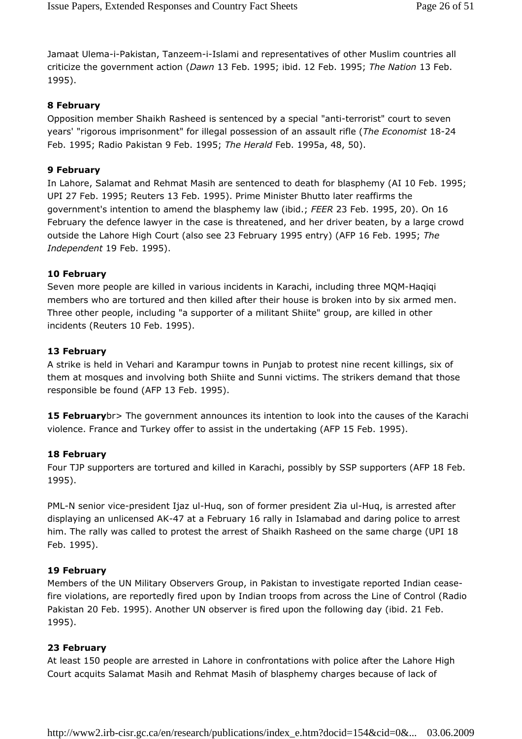Jamaat Ulema-i-Pakistan, Tanzeem-i-Islami and representatives of other Muslim countries all criticize the government action (Dawn 13 Feb. 1995; ibid. 12 Feb. 1995; The Nation 13 Feb. 1995).

#### 8 February

Opposition member Shaikh Rasheed is sentenced by a special "anti-terrorist" court to seven years' "rigorous imprisonment" for illegal possession of an assault rifle (The Economist 18-24 Feb. 1995; Radio Pakistan 9 Feb. 1995; The Herald Feb. 1995a, 48, 50).

#### 9 February

In Lahore, Salamat and Rehmat Masih are sentenced to death for blasphemy (AI 10 Feb. 1995; UPI 27 Feb. 1995; Reuters 13 Feb. 1995). Prime Minister Bhutto later reaffirms the government's intention to amend the blasphemy law (ibid.; FEER 23 Feb. 1995, 20). On 16 February the defence lawyer in the case is threatened, and her driver beaten, by a large crowd outside the Lahore High Court (also see 23 February 1995 entry) (AFP 16 Feb. 1995; The Independent 19 Feb. 1995).

#### 10 February

Seven more people are killed in various incidents in Karachi, including three MQM-Haqiqi members who are tortured and then killed after their house is broken into by six armed men. Three other people, including "a supporter of a militant Shiite" group, are killed in other incidents (Reuters 10 Feb. 1995).

#### 13 February

A strike is held in Vehari and Karampur towns in Punjab to protest nine recent killings, six of them at mosques and involving both Shiite and Sunni victims. The strikers demand that those responsible be found (AFP 13 Feb. 1995).

**15 February** br> The government announces its intention to look into the causes of the Karachi violence. France and Turkey offer to assist in the undertaking (AFP 15 Feb. 1995).

#### 18 February

Four TJP supporters are tortured and killed in Karachi, possibly by SSP supporters (AFP 18 Feb. 1995).

PML-N senior vice-president Ijaz ul-Huq, son of former president Zia ul-Huq, is arrested after displaying an unlicensed AK-47 at a February 16 rally in Islamabad and daring police to arrest him. The rally was called to protest the arrest of Shaikh Rasheed on the same charge (UPI 18 Feb. 1995).

#### 19 February

Members of the UN Military Observers Group, in Pakistan to investigate reported Indian ceasefire violations, are reportedly fired upon by Indian troops from across the Line of Control (Radio Pakistan 20 Feb. 1995). Another UN observer is fired upon the following day (ibid. 21 Feb. 1995).

## 23 February

At least 150 people are arrested in Lahore in confrontations with police after the Lahore High Court acquits Salamat Masih and Rehmat Masih of blasphemy charges because of lack of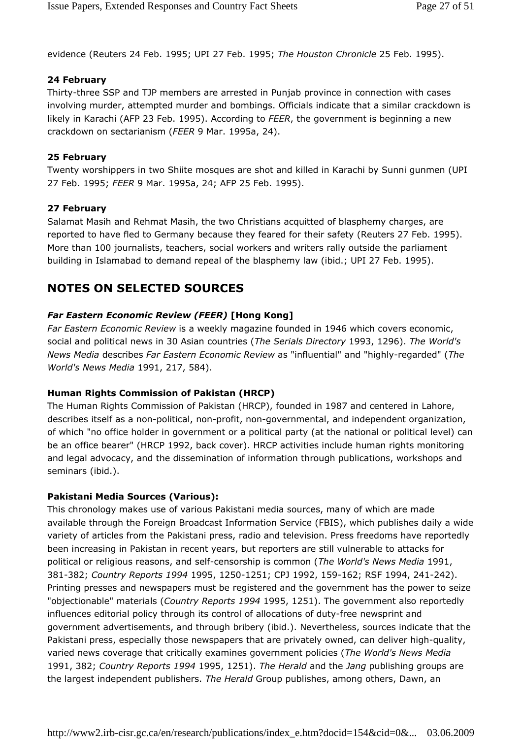evidence (Reuters 24 Feb. 1995; UPI 27 Feb. 1995; The Houston Chronicle 25 Feb. 1995).

## 24 February

Thirty-three SSP and TJP members are arrested in Punjab province in connection with cases involving murder, attempted murder and bombings. Officials indicate that a similar crackdown is likely in Karachi (AFP 23 Feb. 1995). According to FEER, the government is beginning a new crackdown on sectarianism (FEER 9 Mar. 1995a, 24).

## 25 February

Twenty worshippers in two Shiite mosques are shot and killed in Karachi by Sunni gunmen (UPI 27 Feb. 1995; FEER 9 Mar. 1995a, 24; AFP 25 Feb. 1995).

## 27 February

Salamat Masih and Rehmat Masih, the two Christians acquitted of blasphemy charges, are reported to have fled to Germany because they feared for their safety (Reuters 27 Feb. 1995). More than 100 journalists, teachers, social workers and writers rally outside the parliament building in Islamabad to demand repeal of the blasphemy law (ibid.; UPI 27 Feb. 1995).

# NOTES ON SELECTED SOURCES

## Far Eastern Economic Review (FEER) [Hong Kong]

Far Eastern Economic Review is a weekly magazine founded in 1946 which covers economic, social and political news in 30 Asian countries (The Serials Directory 1993, 1296). The World's News Media describes Far Eastern Economic Review as "influential" and "highly-regarded" (The World's News Media 1991, 217, 584).

## Human Rights Commission of Pakistan (HRCP)

The Human Rights Commission of Pakistan (HRCP), founded in 1987 and centered in Lahore, describes itself as a non-political, non-profit, non-governmental, and independent organization, of which "no office holder in government or a political party (at the national or political level) can be an office bearer" (HRCP 1992, back cover). HRCP activities include human rights monitoring and legal advocacy, and the dissemination of information through publications, workshops and seminars (ibid.).

## Pakistani Media Sources (Various):

This chronology makes use of various Pakistani media sources, many of which are made available through the Foreign Broadcast Information Service (FBIS), which publishes daily a wide variety of articles from the Pakistani press, radio and television. Press freedoms have reportedly been increasing in Pakistan in recent years, but reporters are still vulnerable to attacks for political or religious reasons, and self-censorship is common (The World's News Media 1991, 381-382; Country Reports 1994 1995, 1250-1251; CPJ 1992, 159-162; RSF 1994, 241-242). Printing presses and newspapers must be registered and the government has the power to seize "objectionable" materials (Country Reports 1994 1995, 1251). The government also reportedly influences editorial policy through its control of allocations of duty-free newsprint and government advertisements, and through bribery (ibid.). Nevertheless, sources indicate that the Pakistani press, especially those newspapers that are privately owned, can deliver high-quality, varied news coverage that critically examines government policies (The World's News Media 1991, 382; Country Reports 1994 1995, 1251). The Herald and the Jang publishing groups are the largest independent publishers. The Herald Group publishes, among others, Dawn, an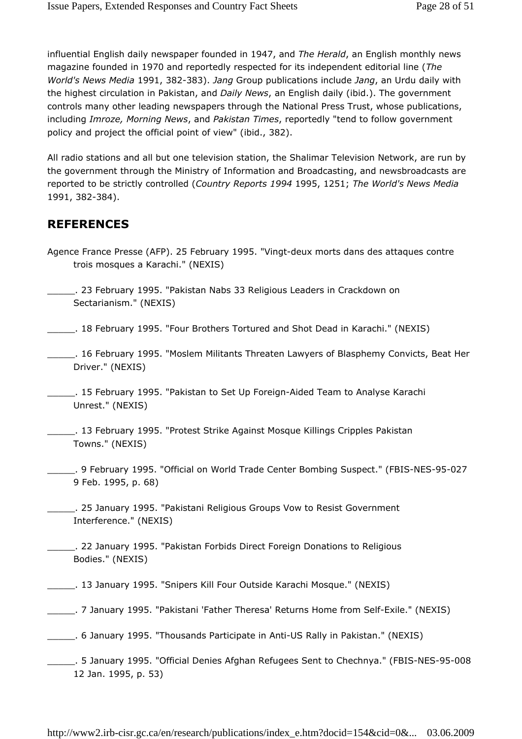influential English daily newspaper founded in 1947, and The Herald, an English monthly news magazine founded in 1970 and reportedly respected for its independent editorial line (The World's News Media 1991, 382-383). Jang Group publications include Jang, an Urdu daily with the highest circulation in Pakistan, and Daily News, an English daily (ibid.). The government controls many other leading newspapers through the National Press Trust, whose publications, including Imroze, Morning News, and Pakistan Times, reportedly "tend to follow government policy and project the official point of view" (ibid., 382).

All radio stations and all but one television station, the Shalimar Television Network, are run by the government through the Ministry of Information and Broadcasting, and newsbroadcasts are reported to be strictly controlled (Country Reports 1994 1995, 1251; The World's News Media 1991, 382-384).

## REFERENCES

- Agence France Presse (AFP). 25 February 1995. "Vingt-deux morts dans des attaques contre trois mosques a Karachi." (NEXIS)
- \_\_\_\_\_. 23 February 1995. "Pakistan Nabs 33 Religious Leaders in Crackdown on Sectarianism." (NEXIS)
- \_\_\_\_\_. 18 February 1995. "Four Brothers Tortured and Shot Dead in Karachi." (NEXIS)
- \_\_\_\_\_. 16 February 1995. "Moslem Militants Threaten Lawyers of Blasphemy Convicts, Beat Her Driver." (NEXIS)
- \_\_\_\_\_. 15 February 1995. "Pakistan to Set Up Foreign-Aided Team to Analyse Karachi Unrest." (NEXIS)
- \_\_\_\_\_. 13 February 1995. "Protest Strike Against Mosque Killings Cripples Pakistan Towns." (NEXIS)
- \_\_\_\_\_. 9 February 1995. "Official on World Trade Center Bombing Suspect." (FBIS-NES-95-027 9 Feb. 1995, p. 68)
- \_\_\_\_\_. 25 January 1995. "Pakistani Religious Groups Vow to Resist Government Interference." (NEXIS)
- \_\_\_\_\_. 22 January 1995. "Pakistan Forbids Direct Foreign Donations to Religious Bodies." (NEXIS)
- \_\_\_\_\_. 13 January 1995. "Snipers Kill Four Outside Karachi Mosque." (NEXIS)
- \_\_\_\_\_. 7 January 1995. "Pakistani 'Father Theresa' Returns Home from Self-Exile." (NEXIS)
- \_\_\_\_\_. 6 January 1995. "Thousands Participate in Anti-US Rally in Pakistan." (NEXIS)
- \_\_\_\_\_. 5 January 1995. "Official Denies Afghan Refugees Sent to Chechnya." (FBIS-NES-95-008 12 Jan. 1995, p. 53)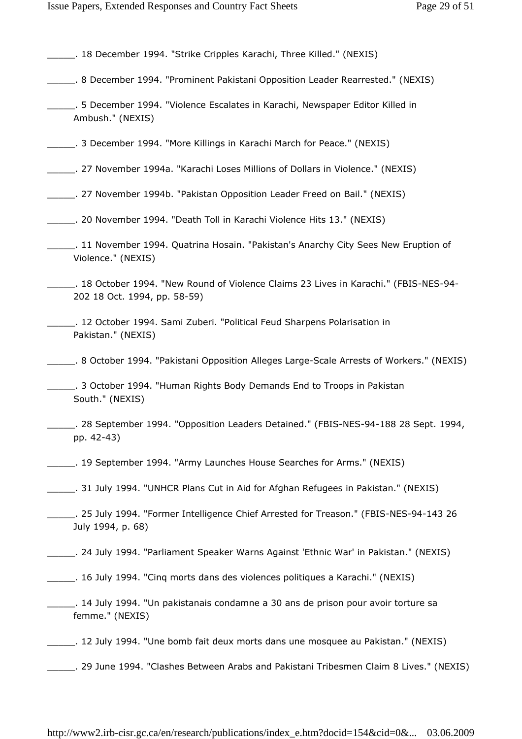| . 18 December 1994. "Strike Cripples Karachi, Three Killed." (NEXIS) |  |  |  |
|----------------------------------------------------------------------|--|--|--|
|----------------------------------------------------------------------|--|--|--|

- \_\_\_\_\_. 8 December 1994. "Prominent Pakistani Opposition Leader Rearrested." (NEXIS)
- \_\_\_\_\_. 5 December 1994. "Violence Escalates in Karachi, Newspaper Editor Killed in Ambush." (NEXIS)
- \_\_\_\_\_. 3 December 1994. "More Killings in Karachi March for Peace." (NEXIS)
- \_\_\_\_\_. 27 November 1994a. "Karachi Loses Millions of Dollars in Violence." (NEXIS)
- \_\_\_\_\_. 27 November 1994b. "Pakistan Opposition Leader Freed on Bail." (NEXIS)
- \_\_\_\_\_. 20 November 1994. "Death Toll in Karachi Violence Hits 13." (NEXIS)
- \_\_\_\_\_. 11 November 1994. Quatrina Hosain. "Pakistan's Anarchy City Sees New Eruption of Violence." (NEXIS)
- \_\_\_\_\_. 18 October 1994. "New Round of Violence Claims 23 Lives in Karachi." (FBIS-NES-94- 202 18 Oct. 1994, pp. 58-59)
- \_\_\_\_\_. 12 October 1994. Sami Zuberi. "Political Feud Sharpens Polarisation in Pakistan." (NEXIS)
- \_\_\_\_\_. 8 October 1994. "Pakistani Opposition Alleges Large-Scale Arrests of Workers." (NEXIS)
- \_\_\_\_\_. 3 October 1994. "Human Rights Body Demands End to Troops in Pakistan South." (NEXIS)
- \_\_\_\_\_. 28 September 1994. "Opposition Leaders Detained." (FBIS-NES-94-188 28 Sept. 1994, pp. 42-43)
- \_\_\_\_\_. 19 September 1994. "Army Launches House Searches for Arms." (NEXIS)
- \_\_\_\_\_. 31 July 1994. "UNHCR Plans Cut in Aid for Afghan Refugees in Pakistan." (NEXIS)
- \_\_\_\_\_. 25 July 1994. "Former Intelligence Chief Arrested for Treason." (FBIS-NES-94-143 26 July 1994, p. 68)
- \_\_\_\_\_. 24 July 1994. "Parliament Speaker Warns Against 'Ethnic War' in Pakistan." (NEXIS)
- \_\_\_\_\_. 16 July 1994. "Cinq morts dans des violences politiques a Karachi." (NEXIS)
- \_\_\_\_\_. 14 July 1994. "Un pakistanais condamne a 30 ans de prison pour avoir torture sa femme." (NEXIS)
- Letter 2012. 12 July 1994. "Une bomb fait deux morts dans une mosquee au Pakistan." (NEXIS)
- \_\_\_\_\_. 29 June 1994. "Clashes Between Arabs and Pakistani Tribesmen Claim 8 Lives." (NEXIS)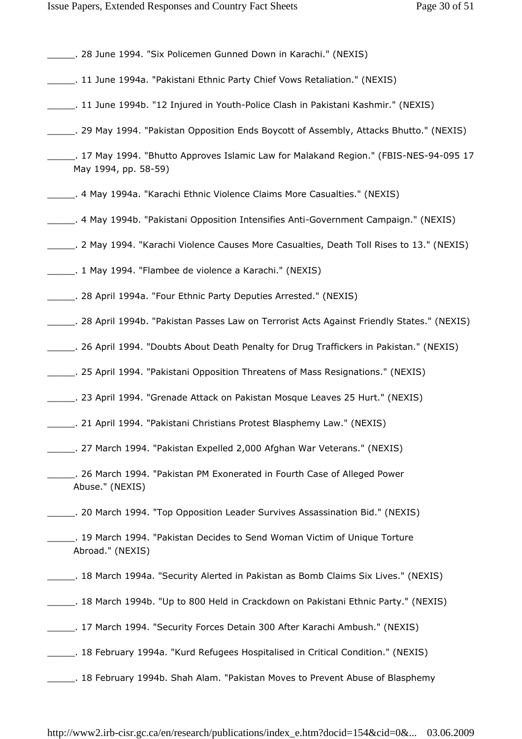| _____. 28 June 1994. "Six Policemen Gunned Down in Karachi." (NEXIS)                                 |
|------------------------------------------------------------------------------------------------------|
| ______. 11 June 1994a. "Pakistani Ethnic Party Chief Vows Retaliation." (NEXIS)                      |
|                                                                                                      |
| ______. 29 May 1994. "Pakistan Opposition Ends Boycott of Assembly, Attacks Bhutto." (NEXIS)         |
| May 1994, pp. 58-59)                                                                                 |
|                                                                                                      |
|                                                                                                      |
|                                                                                                      |
| Lettical Colorgia (1994. "Flambee de violence a Karachi." (NEXIS)                                    |
|                                                                                                      |
| . 28 April 1994b. "Pakistan Passes Law on Terrorist Acts Against Friendly States." (NEXIS). ________ |
|                                                                                                      |
|                                                                                                      |
|                                                                                                      |
|                                                                                                      |
|                                                                                                      |
| _. 26 March 1994. "Pakistan PM Exonerated in Fourth Case of Alleged Power<br>Abuse." (NEXIS)         |
|                                                                                                      |
| _____. 19 March 1994. "Pakistan Decides to Send Woman Victim of Unique Torture<br>Abroad." (NEXIS)   |
|                                                                                                      |
|                                                                                                      |
| ______. 17 March 1994. "Security Forces Detain 300 After Karachi Ambush." (NEXIS)                    |
|                                                                                                      |
| Let a Sheruary 1994b. Shah Alam. "Pakistan Moves to Prevent Abuse of Blasphemy                       |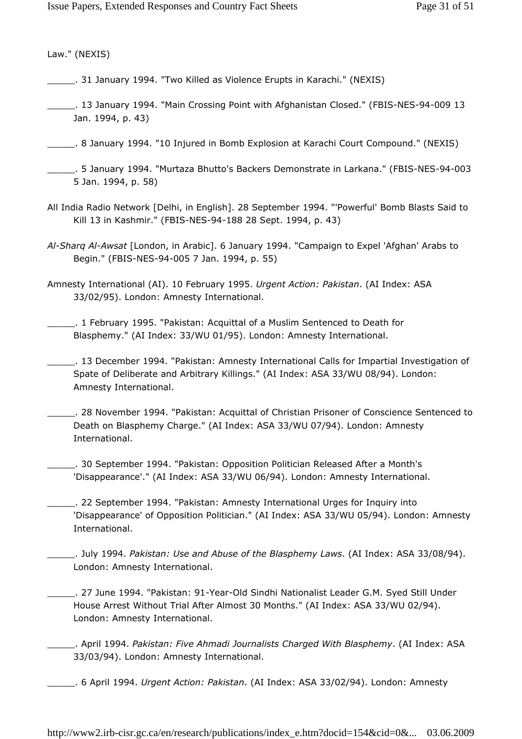Law." (NEXIS)

- \_\_\_\_\_. 31 January 1994. "Two Killed as Violence Erupts in Karachi." (NEXIS)
- \_\_\_\_\_. 13 January 1994. "Main Crossing Point with Afghanistan Closed." (FBIS-NES-94-009 13 Jan. 1994, p. 43)
- \_\_\_\_\_. 8 January 1994. "10 Injured in Bomb Explosion at Karachi Court Compound." (NEXIS)
- \_\_\_\_\_. 5 January 1994. "Murtaza Bhutto's Backers Demonstrate in Larkana." (FBIS-NES-94-003 5 Jan. 1994, p. 58)
- All India Radio Network [Delhi, in English]. 28 September 1994. "'Powerful' Bomb Blasts Said to Kill 13 in Kashmir." (FBIS-NES-94-188 28 Sept. 1994, p. 43)
- Al-Sharg Al-Awsat [London, in Arabic]. 6 January 1994. "Campaign to Expel 'Afghan' Arabs to Begin." (FBIS-NES-94-005 7 Jan. 1994, p. 55)
- Amnesty International (AI). 10 February 1995. Urgent Action: Pakistan. (AI Index: ASA 33/02/95). London: Amnesty International.
- \_\_\_\_\_. 1 February 1995. "Pakistan: Acquittal of a Muslim Sentenced to Death for Blasphemy." (AI Index: 33/WU 01/95). London: Amnesty International.
- \_\_\_\_\_. 13 December 1994. "Pakistan: Amnesty International Calls for Impartial Investigation of Spate of Deliberate and Arbitrary Killings." (AI Index: ASA 33/WU 08/94). London: Amnesty International.
- \_\_\_\_\_. 28 November 1994. "Pakistan: Acquittal of Christian Prisoner of Conscience Sentenced to Death on Blasphemy Charge." (AI Index: ASA 33/WU 07/94). London: Amnesty International.
- \_\_\_\_\_. 30 September 1994. "Pakistan: Opposition Politician Released After a Month's 'Disappearance'." (AI Index: ASA 33/WU 06/94). London: Amnesty International.
- \_\_\_\_\_. 22 September 1994. "Pakistan: Amnesty International Urges for Inquiry into 'Disappearance' of Opposition Politician." (AI Index: ASA 33/WU 05/94). London: Amnesty International.
- \_\_\_\_\_. July 1994. Pakistan: Use and Abuse of the Blasphemy Laws. (AI Index: ASA 33/08/94). London: Amnesty International.
	- \_\_\_\_\_. 27 June 1994. "Pakistan: 91-Year-Old Sindhi Nationalist Leader G.M. Syed Still Under House Arrest Without Trial After Almost 30 Months." (AI Index: ASA 33/WU 02/94). London: Amnesty International.
	- . April 1994. Pakistan: Five Ahmadi Journalists Charged With Blasphemy. (AI Index: ASA 33/03/94). London: Amnesty International.
- 6 April 1994. Urgent Action: Pakistan. (AI Index: ASA 33/02/94). London: Amnesty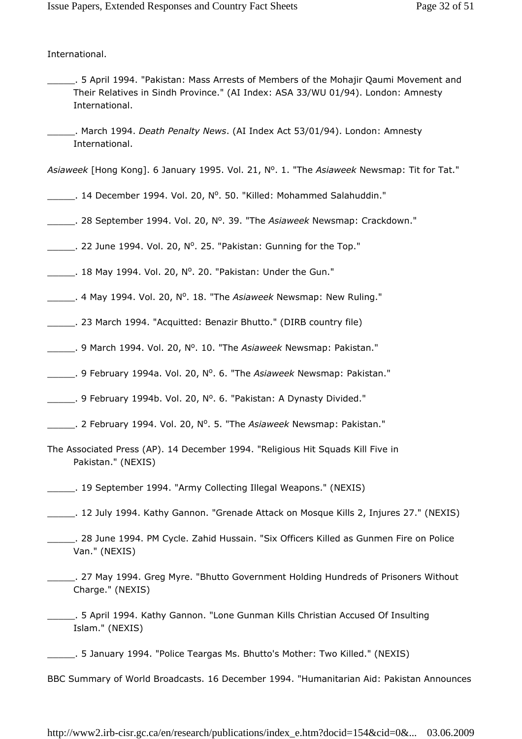International.

- \_\_\_\_\_. 5 April 1994. "Pakistan: Mass Arrests of Members of the Mohajir Qaumi Movement and Their Relatives in Sindh Province." (AI Index: ASA 33/WU 01/94). London: Amnesty International.
- . March 1994. Death Penalty News. (AI Index Act 53/01/94). London: Amnesty International.

Asiaweek [Hong Kong]. 6 January 1995. Vol. 21, N<sup>o</sup>. 1. "The Asiaweek Newsmap: Tit for Tat."

- Letter 20. 14 December 1994. Vol. 20, Nº. 50. "Killed: Mohammed Salahuddin."
- 28 September 1994. Vol. 20, N<sup>o</sup>. 39. "The Asiaweek Newsmap: Crackdown."
- $\_\_\_\_\$ . 22 June 1994. Vol. 20,  $\mathsf{N}^\circ$ . 25. "Pakistan: Gunning for the Top."
- $\frac{1}{2}$ . 18 May 1994. Vol. 20, N°. 20. "Pakistan: Under the Gun."
- 4 May 1994. Vol. 20, N<sup>o</sup>. 18. "The Asiaweek Newsmap: New Ruling."
- \_\_\_\_\_. 23 March 1994. "Acquitted: Benazir Bhutto." (DIRB country file)
- 9 March 1994. Vol. 20, N°. 10. "The Asiaweek Newsmap: Pakistan."
- 9 February 1994a. Vol. 20, N<sup>o</sup>. 6. "The Asiaweek Newsmap: Pakistan."
- 9 February 1994b. Vol. 20, Nº. 6. "Pakistan: A Dynasty Divided."
- Letter 2. February 1994. Vol. 20, Nº. 5. "The Asiaweek Newsmap: Pakistan."
- The Associated Press (AP). 14 December 1994. "Religious Hit Squads Kill Five in Pakistan." (NEXIS)
- \_\_\_\_\_. 19 September 1994. "Army Collecting Illegal Weapons." (NEXIS)
- \_\_\_\_\_. 12 July 1994. Kathy Gannon. "Grenade Attack on Mosque Kills 2, Injures 27." (NEXIS)
- \_\_\_\_\_. 28 June 1994. PM Cycle. Zahid Hussain. "Six Officers Killed as Gunmen Fire on Police Van." (NEXIS)
- \_\_\_\_\_. 27 May 1994. Greg Myre. "Bhutto Government Holding Hundreds of Prisoners Without Charge." (NEXIS)
- \_\_\_\_\_. 5 April 1994. Kathy Gannon. "Lone Gunman Kills Christian Accused Of Insulting Islam." (NEXIS)
- \_\_\_\_\_. 5 January 1994. "Police Teargas Ms. Bhutto's Mother: Two Killed." (NEXIS)
- BBC Summary of World Broadcasts. 16 December 1994. "Humanitarian Aid: Pakistan Announces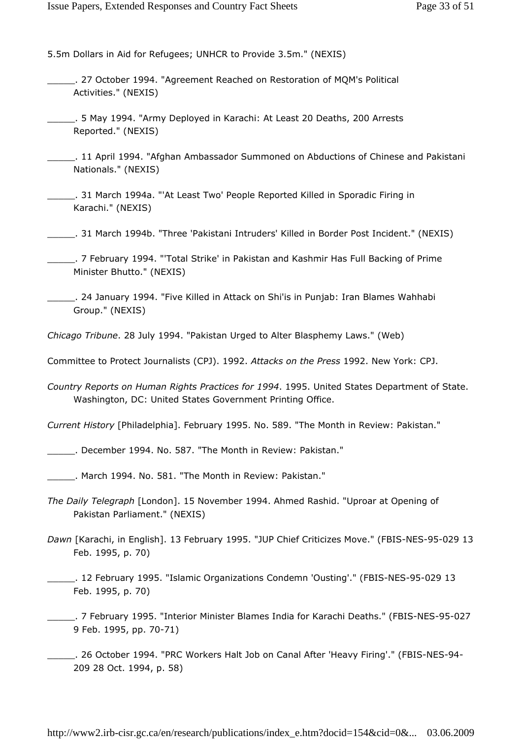5.5m Dollars in Aid for Refugees; UNHCR to Provide 3.5m." (NEXIS)

- \_\_\_\_\_. 27 October 1994. "Agreement Reached on Restoration of MQM's Political Activities." (NEXIS)
- \_\_\_\_\_. 5 May 1994. "Army Deployed in Karachi: At Least 20 Deaths, 200 Arrests Reported." (NEXIS)
- \_\_\_\_\_. 11 April 1994. "Afghan Ambassador Summoned on Abductions of Chinese and Pakistani Nationals." (NEXIS)
- \_\_\_\_\_. 31 March 1994a. "'At Least Two' People Reported Killed in Sporadic Firing in Karachi." (NEXIS)
- \_\_\_\_\_. 31 March 1994b. "Three 'Pakistani Intruders' Killed in Border Post Incident." (NEXIS)
- \_\_\_\_\_. 7 February 1994. "'Total Strike' in Pakistan and Kashmir Has Full Backing of Prime Minister Bhutto." (NEXIS)
- \_\_\_\_\_. 24 January 1994. "Five Killed in Attack on Shi'is in Punjab: Iran Blames Wahhabi Group." (NEXIS)
- Chicago Tribune. 28 July 1994. "Pakistan Urged to Alter Blasphemy Laws." (Web)

Committee to Protect Journalists (CPJ). 1992. Attacks on the Press 1992. New York: CPJ.

Country Reports on Human Rights Practices for 1994. 1995. United States Department of State. Washington, DC: United States Government Printing Office.

Current History [Philadelphia]. February 1995. No. 589. "The Month in Review: Pakistan."

\_\_\_\_\_. December 1994. No. 587. "The Month in Review: Pakistan."

\_\_\_\_\_. March 1994. No. 581. "The Month in Review: Pakistan."

- The Daily Telegraph [London]. 15 November 1994. Ahmed Rashid. "Uproar at Opening of Pakistan Parliament." (NEXIS)
- Dawn [Karachi, in English]. 13 February 1995. "JUP Chief Criticizes Move." (FBIS-NES-95-029 13 Feb. 1995, p. 70)
- \_\_\_\_\_. 12 February 1995. "Islamic Organizations Condemn 'Ousting'." (FBIS-NES-95-029 13 Feb. 1995, p. 70)
- \_\_\_\_\_. 7 February 1995. "Interior Minister Blames India for Karachi Deaths." (FBIS-NES-95-027 9 Feb. 1995, pp. 70-71)
- \_\_\_\_\_. 26 October 1994. "PRC Workers Halt Job on Canal After 'Heavy Firing'." (FBIS-NES-94- 209 28 Oct. 1994, p. 58)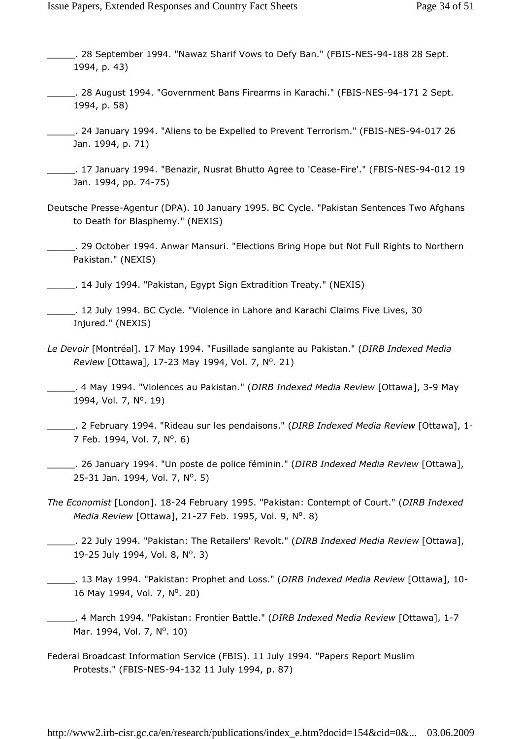- \_\_\_\_\_. 28 September 1994. "Nawaz Sharif Vows to Defy Ban." (FBIS-NES-94-188 28 Sept. 1994, p. 43)
- \_\_\_\_\_. 28 August 1994. "Government Bans Firearms in Karachi." (FBIS-NES-94-171 2 Sept. 1994, p. 58)
- \_\_\_\_\_. 24 January 1994. "Aliens to be Expelled to Prevent Terrorism." (FBIS-NES-94-017 26 Jan. 1994, p. 71)
- \_\_\_\_\_. 17 January 1994. "Benazir, Nusrat Bhutto Agree to 'Cease-Fire'." (FBIS-NES-94-012 19 Jan. 1994, pp. 74-75)
- Deutsche Presse-Agentur (DPA). 10 January 1995. BC Cycle. "Pakistan Sentences Two Afghans to Death for Blasphemy." (NEXIS)
- \_\_\_\_\_. 29 October 1994. Anwar Mansuri. "Elections Bring Hope but Not Full Rights to Northern Pakistan." (NEXIS)
- \_\_\_\_\_. 14 July 1994. "Pakistan, Egypt Sign Extradition Treaty." (NEXIS)
- \_\_\_\_\_. 12 July 1994. BC Cycle. "Violence in Lahore and Karachi Claims Five Lives, 30 Injured." (NEXIS)
- Le Devoir [Montréal]. 17 May 1994. "Fusillade sanglante au Pakistan." (DIRB Indexed Media Review [Ottawa], 17-23 May 1994, Vol. 7, Nº. 21)
- 4 May 1994. "Violences au Pakistan." (DIRB Indexed Media Review [Ottawa], 3-9 May 1994, Vol. 7, Nº. 19)
- Letter 2. February 1994. "Rideau sur les pendaisons." (DIRB Indexed Media Review [Ottawa], 1-7 Feb. 1994, Vol. 7, N<sup>o</sup>. 6)
- . 26 January 1994. "Un poste de police féminin." (*DIRB Indexed Media Review* [Ottawa], 25-31 Jan. 1994, Vol. 7, Nº. 5)
- The Economist [London]. 18-24 February 1995. "Pakistan: Contempt of Court." (DIRB Indexed Media Review [Ottawa], 21-27 Feb. 1995, Vol. 9, Nº. 8)
- . 22 July 1994. "Pakistan: The Retailers' Revolt." (*DIRB Indexed Media Review* [Ottawa], 19-25 July 1994, Vol. 8, Nº. 3)
- . 13 May 1994. "Pakistan: Prophet and Loss." (DIRB Indexed Media Review [Ottawa], 10-16 May 1994, Vol. 7, Nº. 20)
- \_\_. 4 March 1994. "Pakistan: Frontier Battle." (DIRB Indexed Media Review [Ottawa], 1-7 Mar. 1994, Vol. 7, Nº. 10)
- Federal Broadcast Information Service (FBIS). 11 July 1994. "Papers Report Muslim Protests." (FBIS-NES-94-132 11 July 1994, p. 87)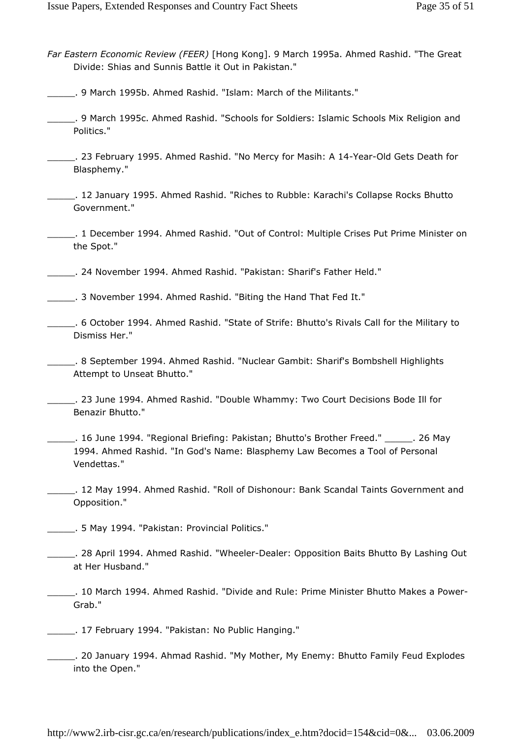- Far Eastern Economic Review (FEER) [Hong Kong]. 9 March 1995a. Ahmed Rashid. "The Great Divide: Shias and Sunnis Battle it Out in Pakistan."
- \_\_\_\_\_. 9 March 1995b. Ahmed Rashid. "Islam: March of the Militants."
- \_\_\_\_\_. 9 March 1995c. Ahmed Rashid. "Schools for Soldiers: Islamic Schools Mix Religion and Politics."
- \_\_\_\_\_. 23 February 1995. Ahmed Rashid. "No Mercy for Masih: A 14-Year-Old Gets Death for Blasphemy."
- \_\_\_\_\_. 12 January 1995. Ahmed Rashid. "Riches to Rubble: Karachi's Collapse Rocks Bhutto Government."
- \_\_\_\_\_. 1 December 1994. Ahmed Rashid. "Out of Control: Multiple Crises Put Prime Minister on the Spot."
- \_\_\_\_\_. 24 November 1994. Ahmed Rashid. "Pakistan: Sharif's Father Held."

\_\_\_\_\_. 3 November 1994. Ahmed Rashid. "Biting the Hand That Fed It."

- \_\_\_\_\_. 6 October 1994. Ahmed Rashid. "State of Strife: Bhutto's Rivals Call for the Military to Dismiss Her."
- \_\_\_\_\_. 8 September 1994. Ahmed Rashid. "Nuclear Gambit: Sharif's Bombshell Highlights Attempt to Unseat Bhutto."
- \_\_\_\_\_. 23 June 1994. Ahmed Rashid. "Double Whammy: Two Court Decisions Bode Ill for Benazir Bhutto."
- \_\_\_\_\_. 16 June 1994. "Regional Briefing: Pakistan; Bhutto's Brother Freed." \_\_\_\_\_. 26 May 1994. Ahmed Rashid. "In God's Name: Blasphemy Law Becomes a Tool of Personal Vendettas."
- \_\_\_\_\_. 12 May 1994. Ahmed Rashid. "Roll of Dishonour: Bank Scandal Taints Government and Opposition."
- \_\_\_\_\_. 5 May 1994. "Pakistan: Provincial Politics."
- \_\_\_\_\_. 28 April 1994. Ahmed Rashid. "Wheeler-Dealer: Opposition Baits Bhutto By Lashing Out at Her Husband."
- \_\_\_\_\_. 10 March 1994. Ahmed Rashid. "Divide and Rule: Prime Minister Bhutto Makes a Power-Grab."
- \_\_\_\_\_. 17 February 1994. "Pakistan: No Public Hanging."
- \_\_\_\_\_. 20 January 1994. Ahmad Rashid. "My Mother, My Enemy: Bhutto Family Feud Explodes into the Open."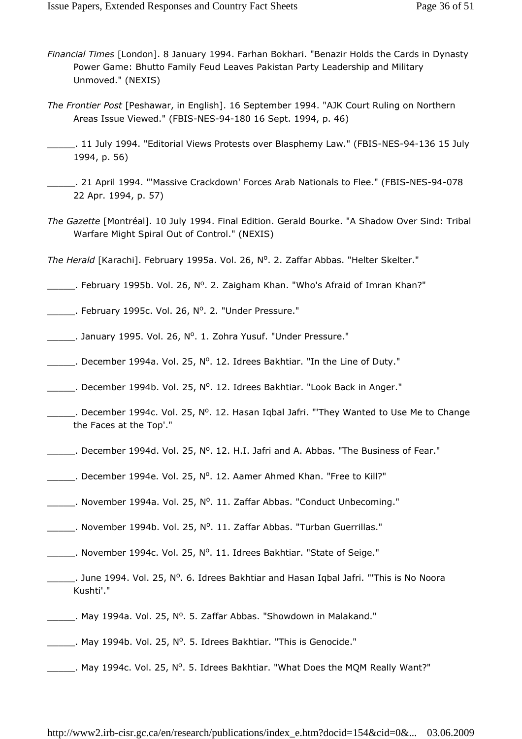- Financial Times [London]. 8 January 1994. Farhan Bokhari. "Benazir Holds the Cards in Dynasty Power Game: Bhutto Family Feud Leaves Pakistan Party Leadership and Military Unmoved." (NEXIS)
- The Frontier Post [Peshawar, in English]. 16 September 1994. "AJK Court Ruling on Northern Areas Issue Viewed." (FBIS-NES-94-180 16 Sept. 1994, p. 46)
- \_\_\_\_\_. 11 July 1994. "Editorial Views Protests over Blasphemy Law." (FBIS-NES-94-136 15 July 1994, p. 56)
- \_\_\_\_\_. 21 April 1994. "'Massive Crackdown' Forces Arab Nationals to Flee." (FBIS-NES-94-078 22 Apr. 1994, p. 57)
- The Gazette [Montréal]. 10 July 1994. Final Edition. Gerald Bourke. "A Shadow Over Sind: Tribal Warfare Might Spiral Out of Control." (NEXIS)

The Herald [Karachi]. February 1995a. Vol. 26, Nº. 2. Zaffar Abbas. "Helter Skelter."

- Letter 2015. The Straight Uplots: Lebruary 1995b. Vol. 26, N°. 2. Zaigham Khan. "Who's Afraid of Imran Khan?"
- Example 26, No. 26, No. 2. "Under Pressure."
- Letter 2010 Cohra Yusuf. "Under Pressure."
- $\_\_\_\_\_\$ . December 1994a. Vol. 25, N°. 12. Idrees Bakhtiar. "In the Line of Duty."
- Letter 2004 L 25, N°. 12. Idrees Bakhtiar. "Look Back in Anger."
- $\_\_\_\_\$ . December 1994c. Vol. 25, Nº. 12. Hasan Iqbal Jafri. "They Wanted to Use Me to Change the Faces at the Top'."
- Letter 2004 December 1994d. Vol. 25, N°. 12. H.I. Jafri and A. Abbas. "The Business of Fear."
- Letter 2010. December 1994e. Vol. 25,  $N^0$ . 12. Aamer Ahmed Khan. "Free to Kill?"
- Logger 2.0 November 1994a. Vol. 25, Nº. 11. Zaffar Abbas. "Conduct Unbecoming."
- Letter 2010. November 1994b. Vol. 25, Nº. 11. Zaffar Abbas. "Turban Guerrillas."
- November 1994c. Vol. 25, Nº. 11. Idrees Bakhtiar. "State of Seige."
- Letter 2014. Dune 1994. Vol. 25, N°. 6. Idrees Bakhtiar and Hasan Iqbal Jafri. "This is No Noora Kushti'."
- May 1994a. Vol. 25, N°. 5. Zaffar Abbas. "Showdown in Malakand."
- May 1994b. Vol. 25, N°. 5. Idrees Bakhtiar. "This is Genocide."
- May 1994c. Vol. 25, Nº. 5. Idrees Bakhtiar. "What Does the MQM Really Want?"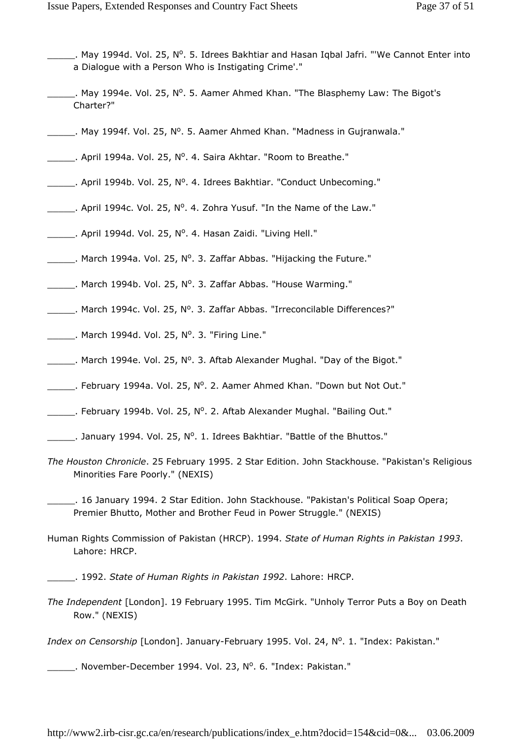- May 1994d. Vol. 25, Nº. 5. Idrees Bakhtiar and Hasan Iqbal Jafri. "'We Cannot Enter into a Dialogue with a Person Who is Instigating Crime'."
- May 1994e. Vol. 25, N°. 5. Aamer Ahmed Khan. "The Blasphemy Law: The Bigot's Charter?"
- May 1994f. Vol. 25, Nº. 5. Aamer Ahmed Khan. "Madness in Gujranwala."
- April 1994a. Vol. 25, Nº. 4. Saira Akhtar. "Room to Breathe."
- April 1994b. Vol. 25, Nº. 4. Idrees Bakhtiar. "Conduct Unbecoming."
- $\frac{1}{2}$ . April 1994c. Vol. 25, N°. 4. Zohra Yusuf. "In the Name of the Law."
- April 1994d. Vol. 25, Nº. 4. Hasan Zaidi. "Living Hell."
- March 1994a. Vol. 25, Nº. 3. Zaffar Abbas. "Hijacking the Future."
- March 1994b. Vol. 25, Nº. 3. Zaffar Abbas. "House Warming."
- March 1994c. Vol. 25, Nº. 3. Zaffar Abbas. "Irreconcilable Differences?"
- $\frac{1}{2}$ . March 1994d. Vol. 25, N°. 3. "Firing Line."
- $\_\_\_\_\_\$ . March 1994e. Vol. 25, N°. 3. Aftab Alexander Mughal. "Day of the Bigot."
- Letter 2. Aamer Ahmed Khan. "Down but Not Out."
- E Pebruary 1994b. Vol. 25, N<sup>o</sup>. 2. Aftab Alexander Mughal. "Bailing Out."
- $\frac{1}{2}$ . January 1994. Vol. 25, N°. 1. Idrees Bakhtiar. "Battle of the Bhuttos."
- The Houston Chronicle. 25 February 1995. 2 Star Edition. John Stackhouse. "Pakistan's Religious Minorities Fare Poorly." (NEXIS)
- \_\_\_\_\_. 16 January 1994. 2 Star Edition. John Stackhouse. "Pakistan's Political Soap Opera; Premier Bhutto, Mother and Brother Feud in Power Struggle." (NEXIS)
- Human Rights Commission of Pakistan (HRCP). 1994. State of Human Rights in Pakistan 1993. Lahore: HRCP.
- \_\_\_\_\_. 1992. State of Human Rights in Pakistan 1992. Lahore: HRCP.
- The Independent [London]. 19 February 1995. Tim McGirk. "Unholy Terror Puts a Boy on Death Row." (NEXIS)
- Index on Censorship [London]. January-February 1995. Vol. 24, Nº. 1. "Index: Pakistan."
- Letter 23, November-December 1994. Vol. 23, Nº. 6. "Index: Pakistan."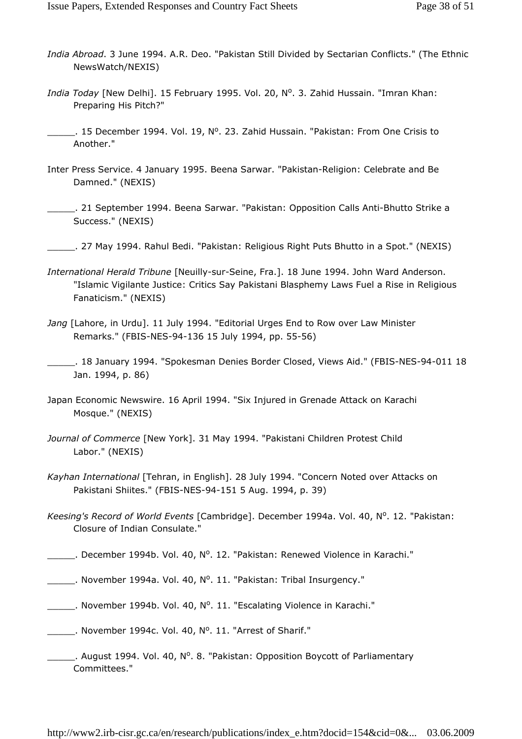- India Abroad. 3 June 1994. A.R. Deo. "Pakistan Still Divided by Sectarian Conflicts." (The Ethnic NewsWatch/NEXIS)
- India Today [New Delhi]. 15 February 1995. Vol. 20, Nº. 3. Zahid Hussain. "Imran Khan: Preparing His Pitch?"
- 15 December 1994. Vol. 19, Nº. 23. Zahid Hussain. "Pakistan: From One Crisis to Another."
- Inter Press Service. 4 January 1995. Beena Sarwar. "Pakistan-Religion: Celebrate and Be Damned." (NEXIS)
- \_\_\_\_\_. 21 September 1994. Beena Sarwar. "Pakistan: Opposition Calls Anti-Bhutto Strike a Success." (NEXIS)
- \_\_\_\_\_. 27 May 1994. Rahul Bedi. "Pakistan: Religious Right Puts Bhutto in a Spot." (NEXIS)
- International Herald Tribune [Neuilly-sur-Seine, Fra.]. 18 June 1994. John Ward Anderson. "Islamic Vigilante Justice: Critics Say Pakistani Blasphemy Laws Fuel a Rise in Religious Fanaticism." (NEXIS)
- Jang [Lahore, in Urdu]. 11 July 1994. "Editorial Urges End to Row over Law Minister Remarks." (FBIS-NES-94-136 15 July 1994, pp. 55-56)
- \_\_\_\_\_. 18 January 1994. "Spokesman Denies Border Closed, Views Aid." (FBIS-NES-94-011 18 Jan. 1994, p. 86)
- Japan Economic Newswire. 16 April 1994. "Six Injured in Grenade Attack on Karachi Mosque." (NEXIS)
- Journal of Commerce [New York]. 31 May 1994. "Pakistani Children Protest Child Labor." (NEXIS)
- Kayhan International [Tehran, in English]. 28 July 1994. "Concern Noted over Attacks on Pakistani Shiites." (FBIS-NES-94-151 5 Aug. 1994, p. 39)
- Keesing's Record of World Events [Cambridge]. December 1994a. Vol. 40, Nº. 12. "Pakistan: Closure of Indian Consulate."
- Letter 2010: Nol. 40, Nº. 12. "Pakistan: Renewed Violence in Karachi."
- Letter 2014 . November 1994a. Vol. 40, Nº. 11. "Pakistan: Tribal Insurgency."
- Letter 2010. Vol. 40, N°. 11. "Escalating Violence in Karachi."
- November 1994c. Vol. 40, Nº. 11. "Arrest of Sharif."
- Letter 2011. August 1994. Vol. 40, N°. 8. "Pakistan: Opposition Boycott of Parliamentary Committees."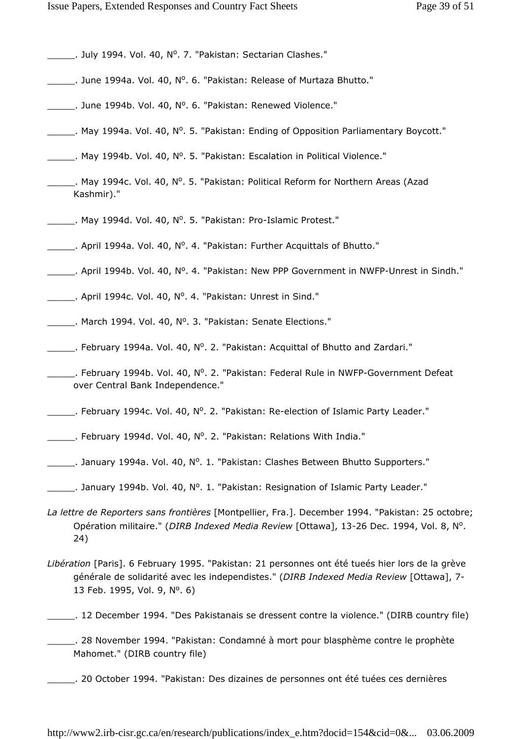- Letter 2. July 1994. Vol. 40, Nº. 7. "Pakistan: Sectarian Clashes."
- Letter 2011. Helease of Murtaza Bhutto."<br>
Letter A0, Nº. 6. "Pakistan: Release of Murtaza Bhutto."
- Letter 2010: Unne 1994b. Vol. 40, Nº. 6. "Pakistan: Renewed Violence."
- Lettuary 1994 a. Vol. 40, N°. 5. "Pakistan: Ending of Opposition Parliamentary Boycott."
- May 1994b. Vol. 40, Nº. 5. "Pakistan: Escalation in Political Violence."
- May 1994c. Vol. 40, Nº. 5. "Pakistan: Political Reform for Northern Areas (Azad Kashmir)."
- May 1994d. Vol. 40, Nº. 5. "Pakistan: Pro-Islamic Protest."
- April 1994a. Vol. 40, Nº. 4. "Pakistan: Further Acquittals of Bhutto."
- Letter 2011 April 1994b. Vol. 40, Nº. 4. "Pakistan: New PPP Government in NWFP-Unrest in Sindh."
- Letter 20. April 1994c. Vol. 40, Nº. 4. "Pakistan: Unrest in Sind."
- March 1994. Vol. 40, Nº. 3. "Pakistan: Senate Elections."
- Ellemiary 1994a. Vol. 40, Nº. 2. "Pakistan: Acquittal of Bhutto and Zardari."
- Letter 20 February 1994b. Vol. 40, N°. 2. "Pakistan: Federal Rule in NWFP-Government Defeat over Central Bank Independence."
- Lettian: Rebruary 1994c. Vol. 40, Nº. 2. "Pakistan: Re-election of Islamic Party Leader."
- February 1994d. Vol. 40, Nº. 2. "Pakistan: Relations With India."
- Letture Danuary 1994a. Vol. 40, Nº. 1. "Pakistan: Clashes Between Bhutto Supporters."
- Lettuary 1994b. Vol. 40, N°. 1. "Pakistan: Resignation of Islamic Party Leader."
- La lettre de Reporters sans frontières [Montpellier, Fra.]. December 1994. "Pakistan: 25 octobre; Opération militaire." (DIRB Indexed Media Review [Ottawa], 13-26 Dec. 1994, Vol. 8, Nº. 24)
- Libération [Paris]. 6 February 1995. "Pakistan: 21 personnes ont été tueés hier lors de la grève générale de solidarité avec les independistes." (DIRB Indexed Media Review [Ottawa], 7-13 Feb. 1995, Vol. 9, Nº. 6)
- \_\_\_\_\_. 12 December 1994. "Des Pakistanais se dressent contre la violence." (DIRB country file)
- \_\_\_\_\_. 28 November 1994. "Pakistan: Condamné à mort pour blasphème contre le prophète Mahomet." (DIRB country file)
- \_\_\_\_\_. 20 October 1994. "Pakistan: Des dizaines de personnes ont été tuées ces dernières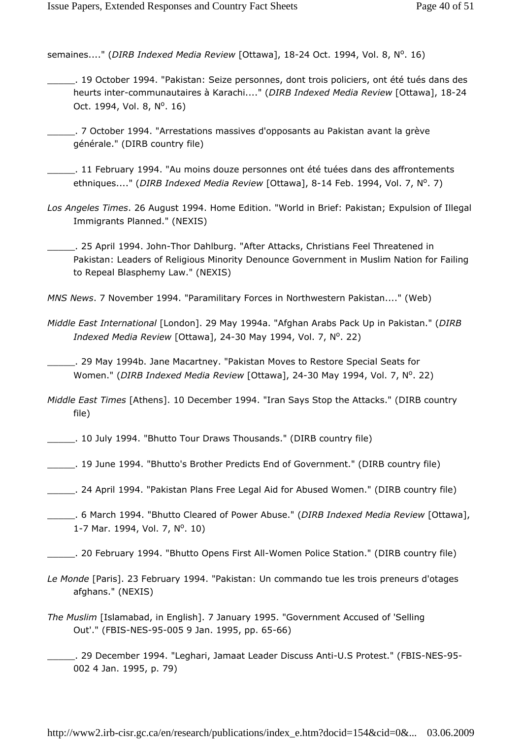semaines...." (DIRB Indexed Media Review [Ottawa], 18-24 Oct. 1994, Vol. 8, Nº. 16)

- \_\_\_\_\_. 19 October 1994. "Pakistan: Seize personnes, dont trois policiers, ont été tués dans des heurts inter-communautaires à Karachi...." (DIRB Indexed Media Review [Ottawa], 18-24 Oct. 1994, Vol. 8, N<sup>o</sup>. 16)
- \_\_\_\_\_. 7 October 1994. "Arrestations massives d'opposants au Pakistan avant la grève générale." (DIRB country file)
- \_\_\_\_\_. 11 February 1994. "Au moins douze personnes ont été tuées dans des affrontements ethniques...." (DIRB Indexed Media Review [Ottawa], 8-14 Feb. 1994, Vol. 7, Nº. 7)
- Los Angeles Times. 26 August 1994. Home Edition. "World in Brief: Pakistan; Expulsion of Illegal Immigrants Planned." (NEXIS)
- \_\_\_\_\_. 25 April 1994. John-Thor Dahlburg. "After Attacks, Christians Feel Threatened in Pakistan: Leaders of Religious Minority Denounce Government in Muslim Nation for Failing to Repeal Blasphemy Law." (NEXIS)
- MNS News. 7 November 1994. "Paramilitary Forces in Northwestern Pakistan...." (Web)
- Middle East International [London]. 29 May 1994a. "Afghan Arabs Pack Up in Pakistan." (DIRB Indexed Media Review [Ottawa], 24-30 May 1994, Vol. 7, Nº. 22)
- \_\_\_\_\_. 29 May 1994b. Jane Macartney. "Pakistan Moves to Restore Special Seats for Women." (DIRB Indexed Media Review [Ottawa], 24-30 May 1994, Vol. 7, Nº. 22)
- Middle East Times [Athens]. 10 December 1994. "Iran Says Stop the Attacks." (DIRB country file)
- \_\_\_\_\_. 10 July 1994. "Bhutto Tour Draws Thousands." (DIRB country file)
- \_\_\_\_\_. 19 June 1994. "Bhutto's Brother Predicts End of Government." (DIRB country file)
- \_\_\_\_\_. 24 April 1994. "Pakistan Plans Free Legal Aid for Abused Women." (DIRB country file)
- . 6 March 1994. "Bhutto Cleared of Power Abuse." (DIRB Indexed Media Review [Ottawa], 1-7 Mar. 1994, Vol. 7, Nº. 10)
- \_\_\_\_\_. 20 February 1994. "Bhutto Opens First All-Women Police Station." (DIRB country file)
- Le Monde [Paris]. 23 February 1994. "Pakistan: Un commando tue les trois preneurs d'otages afghans." (NEXIS)
- The Muslim [Islamabad, in English]. 7 January 1995. "Government Accused of 'Selling Out'." (FBIS-NES-95-005 9 Jan. 1995, pp. 65-66)
- \_\_\_\_\_. 29 December 1994. "Leghari, Jamaat Leader Discuss Anti-U.S Protest." (FBIS-NES-95- 002 4 Jan. 1995, p. 79)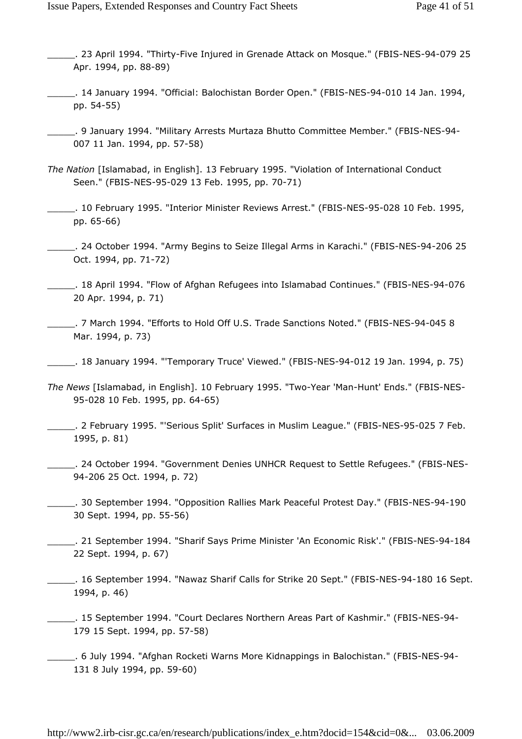- \_\_\_\_\_. 23 April 1994. "Thirty-Five Injured in Grenade Attack on Mosque." (FBIS-NES-94-079 25 Apr. 1994, pp. 88-89)
- \_\_\_\_\_. 14 January 1994. "Official: Balochistan Border Open." (FBIS-NES-94-010 14 Jan. 1994, pp. 54-55)
- \_\_\_\_\_. 9 January 1994. "Military Arrests Murtaza Bhutto Committee Member." (FBIS-NES-94- 007 11 Jan. 1994, pp. 57-58)
- The Nation [Islamabad, in English]. 13 February 1995. "Violation of International Conduct Seen." (FBIS-NES-95-029 13 Feb. 1995, pp. 70-71)
- \_\_\_\_\_. 10 February 1995. "Interior Minister Reviews Arrest." (FBIS-NES-95-028 10 Feb. 1995, pp. 65-66)
- \_\_\_\_\_. 24 October 1994. "Army Begins to Seize Illegal Arms in Karachi." (FBIS-NES-94-206 25 Oct. 1994, pp. 71-72)
- \_\_\_\_\_. 18 April 1994. "Flow of Afghan Refugees into Islamabad Continues." (FBIS-NES-94-076 20 Apr. 1994, p. 71)
- \_\_\_\_\_. 7 March 1994. "Efforts to Hold Off U.S. Trade Sanctions Noted." (FBIS-NES-94-045 8 Mar. 1994, p. 73)
- \_\_\_\_\_. 18 January 1994. "'Temporary Truce' Viewed." (FBIS-NES-94-012 19 Jan. 1994, p. 75)
- The News [Islamabad, in English]. 10 February 1995. "Two-Year 'Man-Hunt' Ends." (FBIS-NES-95-028 10 Feb. 1995, pp. 64-65)
- \_\_\_\_\_. 2 February 1995. "'Serious Split' Surfaces in Muslim League." (FBIS-NES-95-025 7 Feb. 1995, p. 81)
- \_\_\_\_\_. 24 October 1994. "Government Denies UNHCR Request to Settle Refugees." (FBIS-NES-94-206 25 Oct. 1994, p. 72)
- \_\_\_\_\_. 30 September 1994. "Opposition Rallies Mark Peaceful Protest Day." (FBIS-NES-94-190 30 Sept. 1994, pp. 55-56)
- \_\_\_\_\_. 21 September 1994. "Sharif Says Prime Minister 'An Economic Risk'." (FBIS-NES-94-184 22 Sept. 1994, p. 67)
- \_\_\_\_\_. 16 September 1994. "Nawaz Sharif Calls for Strike 20 Sept." (FBIS-NES-94-180 16 Sept. 1994, p. 46)
- \_\_\_\_\_. 15 September 1994. "Court Declares Northern Areas Part of Kashmir." (FBIS-NES-94- 179 15 Sept. 1994, pp. 57-58)
- \_\_\_\_\_. 6 July 1994. "Afghan Rocketi Warns More Kidnappings in Balochistan." (FBIS-NES-94- 131 8 July 1994, pp. 59-60)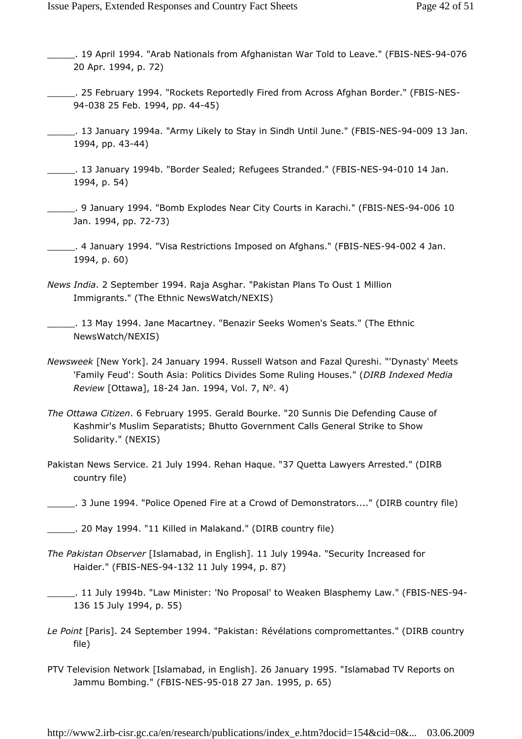- \_\_\_\_\_. 19 April 1994. "Arab Nationals from Afghanistan War Told to Leave." (FBIS-NES-94-076 20 Apr. 1994, p. 72)
- \_\_\_\_\_. 25 February 1994. "Rockets Reportedly Fired from Across Afghan Border." (FBIS-NES-94-038 25 Feb. 1994, pp. 44-45)
- \_\_\_\_\_. 13 January 1994a. "Army Likely to Stay in Sindh Until June." (FBIS-NES-94-009 13 Jan. 1994, pp. 43-44)
- \_\_\_\_\_. 13 January 1994b. "Border Sealed; Refugees Stranded." (FBIS-NES-94-010 14 Jan. 1994, p. 54)
- \_\_\_\_\_. 9 January 1994. "Bomb Explodes Near City Courts in Karachi." (FBIS-NES-94-006 10 Jan. 1994, pp. 72-73)
- \_\_\_\_\_. 4 January 1994. "Visa Restrictions Imposed on Afghans." (FBIS-NES-94-002 4 Jan. 1994, p. 60)
- News India. 2 September 1994. Raja Asghar. "Pakistan Plans To Oust 1 Million Immigrants." (The Ethnic NewsWatch/NEXIS)
- \_\_\_\_\_. 13 May 1994. Jane Macartney. "Benazir Seeks Women's Seats." (The Ethnic NewsWatch/NEXIS)
- Newsweek [New York]. 24 January 1994. Russell Watson and Fazal Qureshi. "'Dynasty' Meets 'Family Feud': South Asia: Politics Divides Some Ruling Houses." (DIRB Indexed Media Review [Ottawa], 18-24 Jan. 1994, Vol. 7, Nº. 4)
- The Ottawa Citizen. 6 February 1995. Gerald Bourke. "20 Sunnis Die Defending Cause of Kashmir's Muslim Separatists; Bhutto Government Calls General Strike to Show Solidarity." (NEXIS)
- Pakistan News Service. 21 July 1994. Rehan Haque. "37 Quetta Lawyers Arrested." (DIRB country file)
- \_\_\_\_\_. 3 June 1994. "Police Opened Fire at a Crowd of Demonstrators...." (DIRB country file)
- \_\_\_\_\_. 20 May 1994. "11 Killed in Malakand." (DIRB country file)
- The Pakistan Observer [Islamabad, in English]. 11 July 1994a. "Security Increased for Haider." (FBIS-NES-94-132 11 July 1994, p. 87)
- \_\_\_\_\_. 11 July 1994b. "Law Minister: 'No Proposal' to Weaken Blasphemy Law." (FBIS-NES-94- 136 15 July 1994, p. 55)
- Le Point [Paris]. 24 September 1994. "Pakistan: Révélations compromettantes." (DIRB country file)
- PTV Television Network [Islamabad, in English]. 26 January 1995. "Islamabad TV Reports on Jammu Bombing." (FBIS-NES-95-018 27 Jan. 1995, p. 65)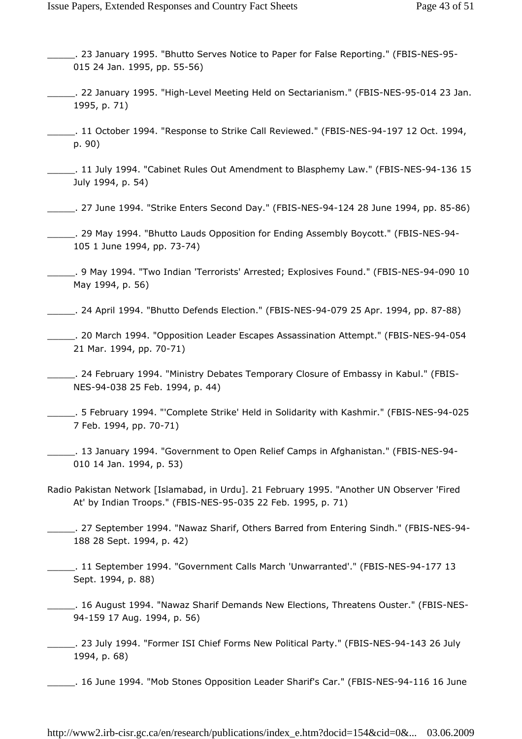- \_\_\_\_\_. 23 January 1995. "Bhutto Serves Notice to Paper for False Reporting." (FBIS-NES-95- 015 24 Jan. 1995, pp. 55-56)
- \_\_\_\_\_. 22 January 1995. "High-Level Meeting Held on Sectarianism." (FBIS-NES-95-014 23 Jan. 1995, p. 71)
- \_\_\_\_\_. 11 October 1994. "Response to Strike Call Reviewed." (FBIS-NES-94-197 12 Oct. 1994, p. 90)
- \_\_\_\_\_. 11 July 1994. "Cabinet Rules Out Amendment to Blasphemy Law." (FBIS-NES-94-136 15 July 1994, p. 54)
- \_\_\_\_\_. 27 June 1994. "Strike Enters Second Day." (FBIS-NES-94-124 28 June 1994, pp. 85-86)
- \_\_\_\_\_. 29 May 1994. "Bhutto Lauds Opposition for Ending Assembly Boycott." (FBIS-NES-94- 105 1 June 1994, pp. 73-74)
- \_\_\_\_\_. 9 May 1994. "Two Indian 'Terrorists' Arrested; Explosives Found." (FBIS-NES-94-090 10 May 1994, p. 56)
- \_\_\_\_\_. 24 April 1994. "Bhutto Defends Election." (FBIS-NES-94-079 25 Apr. 1994, pp. 87-88)
- \_\_\_\_\_. 20 March 1994. "Opposition Leader Escapes Assassination Attempt." (FBIS-NES-94-054 21 Mar. 1994, pp. 70-71)
- \_\_\_\_\_. 24 February 1994. "Ministry Debates Temporary Closure of Embassy in Kabul." (FBIS-NES-94-038 25 Feb. 1994, p. 44)
- \_\_\_\_\_. 5 February 1994. "'Complete Strike' Held in Solidarity with Kashmir." (FBIS-NES-94-025 7 Feb. 1994, pp. 70-71)
- \_\_\_\_\_. 13 January 1994. "Government to Open Relief Camps in Afghanistan." (FBIS-NES-94- 010 14 Jan. 1994, p. 53)
- Radio Pakistan Network [Islamabad, in Urdu]. 21 February 1995. "Another UN Observer 'Fired At' by Indian Troops." (FBIS-NES-95-035 22 Feb. 1995, p. 71)
- \_\_\_\_\_. 27 September 1994. "Nawaz Sharif, Others Barred from Entering Sindh." (FBIS-NES-94- 188 28 Sept. 1994, p. 42)
- \_\_\_\_\_. 11 September 1994. "Government Calls March 'Unwarranted'." (FBIS-NES-94-177 13 Sept. 1994, p. 88)
- \_\_\_\_\_. 16 August 1994. "Nawaz Sharif Demands New Elections, Threatens Ouster." (FBIS-NES-94-159 17 Aug. 1994, p. 56)
- \_\_\_\_\_. 23 July 1994. "Former ISI Chief Forms New Political Party." (FBIS-NES-94-143 26 July 1994, p. 68)
	- \_\_\_\_\_. 16 June 1994. "Mob Stones Opposition Leader Sharif's Car." (FBIS-NES-94-116 16 June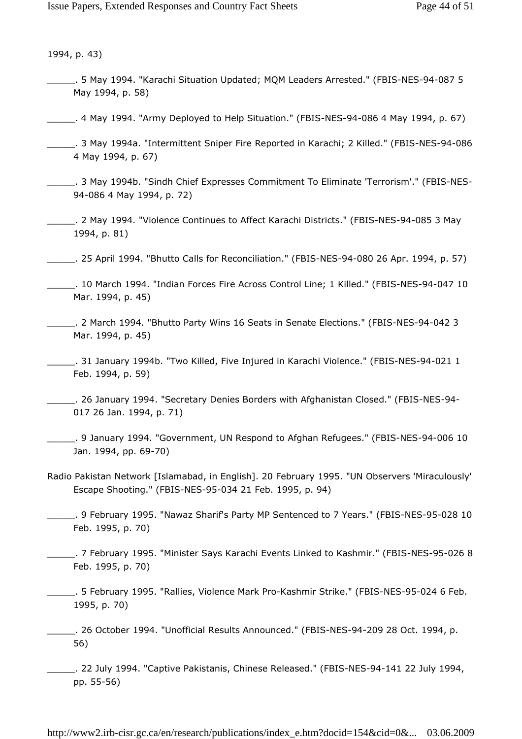1994, p. 43)

- \_\_\_\_\_. 5 May 1994. "Karachi Situation Updated; MQM Leaders Arrested." (FBIS-NES-94-087 5 May 1994, p. 58)
- \_\_\_\_\_. 4 May 1994. "Army Deployed to Help Situation." (FBIS-NES-94-086 4 May 1994, p. 67)
- \_\_\_\_\_. 3 May 1994a. "Intermittent Sniper Fire Reported in Karachi; 2 Killed." (FBIS-NES-94-086 4 May 1994, p. 67)
- \_\_\_\_\_. 3 May 1994b. "Sindh Chief Expresses Commitment To Eliminate 'Terrorism'." (FBIS-NES-94-086 4 May 1994, p. 72)
- \_\_\_\_\_. 2 May 1994. "Violence Continues to Affect Karachi Districts." (FBIS-NES-94-085 3 May 1994, p. 81)
- \_\_\_\_\_. 25 April 1994. "Bhutto Calls for Reconciliation." (FBIS-NES-94-080 26 Apr. 1994, p. 57)
- \_\_\_\_\_. 10 March 1994. "Indian Forces Fire Across Control Line; 1 Killed." (FBIS-NES-94-047 10 Mar. 1994, p. 45)
- \_\_\_\_\_. 2 March 1994. "Bhutto Party Wins 16 Seats in Senate Elections." (FBIS-NES-94-042 3 Mar. 1994, p. 45)
- \_\_\_\_\_. 31 January 1994b. "Two Killed, Five Injured in Karachi Violence." (FBIS-NES-94-021 1 Feb. 1994, p. 59)
- \_\_\_\_\_. 26 January 1994. "Secretary Denies Borders with Afghanistan Closed." (FBIS-NES-94- 017 26 Jan. 1994, p. 71)
- \_\_\_\_\_. 9 January 1994. "Government, UN Respond to Afghan Refugees." (FBIS-NES-94-006 10 Jan. 1994, pp. 69-70)
- Radio Pakistan Network [Islamabad, in English]. 20 February 1995. "UN Observers 'Miraculously' Escape Shooting." (FBIS-NES-95-034 21 Feb. 1995, p. 94)
- \_\_\_\_\_. 9 February 1995. "Nawaz Sharif's Party MP Sentenced to 7 Years." (FBIS-NES-95-028 10 Feb. 1995, p. 70)
- \_\_\_\_\_. 7 February 1995. "Minister Says Karachi Events Linked to Kashmir." (FBIS-NES-95-026 8 Feb. 1995, p. 70)
- \_\_\_\_\_. 5 February 1995. "Rallies, Violence Mark Pro-Kashmir Strike." (FBIS-NES-95-024 6 Feb. 1995, p. 70)
- \_\_\_\_\_. 26 October 1994. "Unofficial Results Announced." (FBIS-NES-94-209 28 Oct. 1994, p. 56)
- \_\_\_\_\_. 22 July 1994. "Captive Pakistanis, Chinese Released." (FBIS-NES-94-141 22 July 1994, pp. 55-56)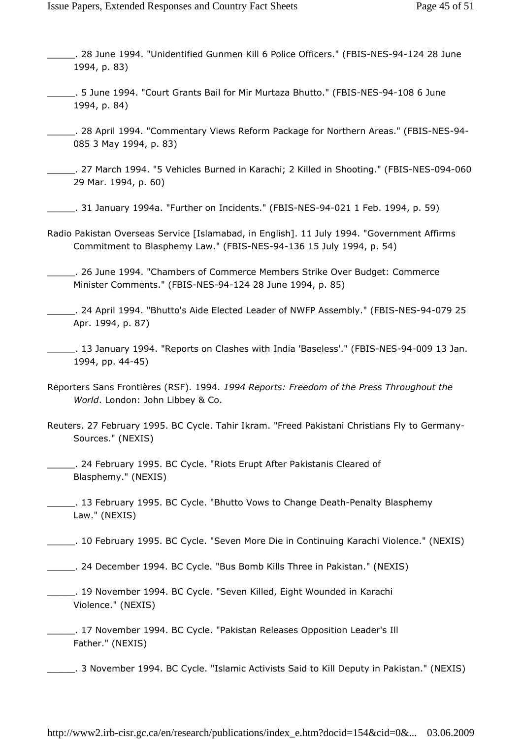- \_\_\_\_\_. 28 June 1994. "Unidentified Gunmen Kill 6 Police Officers." (FBIS-NES-94-124 28 June 1994, p. 83)
- \_\_\_\_\_. 5 June 1994. "Court Grants Bail for Mir Murtaza Bhutto." (FBIS-NES-94-108 6 June 1994, p. 84)
- \_\_\_\_\_. 28 April 1994. "Commentary Views Reform Package for Northern Areas." (FBIS-NES-94- 085 3 May 1994, p. 83)
- \_\_\_\_\_. 27 March 1994. "5 Vehicles Burned in Karachi; 2 Killed in Shooting." (FBIS-NES-094-060 29 Mar. 1994, p. 60)
- \_\_\_\_\_. 31 January 1994a. "Further on Incidents." (FBIS-NES-94-021 1 Feb. 1994, p. 59)
- Radio Pakistan Overseas Service [Islamabad, in English]. 11 July 1994. "Government Affirms Commitment to Blasphemy Law." (FBIS-NES-94-136 15 July 1994, p. 54)
- \_\_\_\_\_. 26 June 1994. "Chambers of Commerce Members Strike Over Budget: Commerce Minister Comments." (FBIS-NES-94-124 28 June 1994, p. 85)
- \_\_\_\_\_. 24 April 1994. "Bhutto's Aide Elected Leader of NWFP Assembly." (FBIS-NES-94-079 25 Apr. 1994, p. 87)
- \_\_\_\_\_. 13 January 1994. "Reports on Clashes with India 'Baseless'." (FBIS-NES-94-009 13 Jan. 1994, pp. 44-45)
- Reporters Sans Frontières (RSF). 1994. 1994 Reports: Freedom of the Press Throughout the World. London: John Libbey & Co.
- Reuters. 27 February 1995. BC Cycle. Tahir Ikram. "Freed Pakistani Christians Fly to Germany-Sources." (NEXIS)
- \_\_\_\_\_. 24 February 1995. BC Cycle. "Riots Erupt After Pakistanis Cleared of Blasphemy." (NEXIS)
- \_\_\_\_\_. 13 February 1995. BC Cycle. "Bhutto Vows to Change Death-Penalty Blasphemy Law." (NEXIS)
- \_\_\_\_\_. 10 February 1995. BC Cycle. "Seven More Die in Continuing Karachi Violence." (NEXIS)
- \_\_\_\_\_. 24 December 1994. BC Cycle. "Bus Bomb Kills Three in Pakistan." (NEXIS)
- 19 November 1994. BC Cycle. "Seven Killed, Eight Wounded in Karachi Violence." (NEXIS)
- \_\_\_\_\_. 17 November 1994. BC Cycle. "Pakistan Releases Opposition Leader's Ill Father." (NEXIS)
- \_\_\_\_\_. 3 November 1994. BC Cycle. "Islamic Activists Said to Kill Deputy in Pakistan." (NEXIS)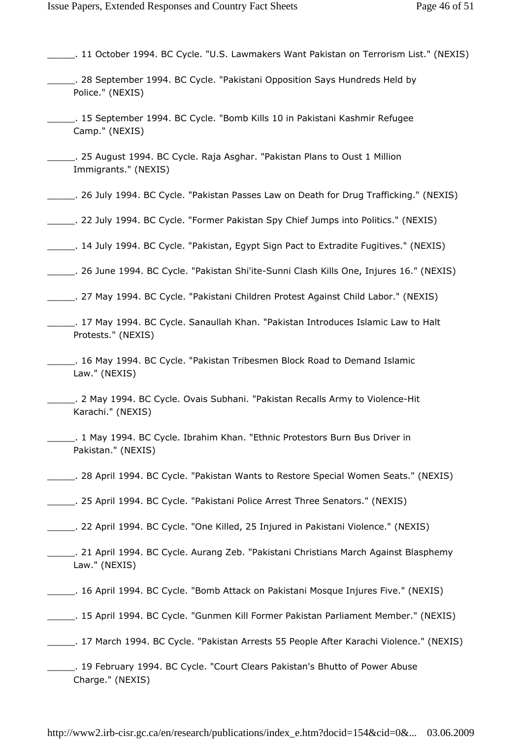- \_\_\_\_\_. 11 October 1994. BC Cycle. "U.S. Lawmakers Want Pakistan on Terrorism List." (NEXIS)
- \_\_\_\_\_. 28 September 1994. BC Cycle. "Pakistani Opposition Says Hundreds Held by Police." (NEXIS)
- \_\_\_\_\_. 15 September 1994. BC Cycle. "Bomb Kills 10 in Pakistani Kashmir Refugee Camp." (NEXIS)
- \_\_\_\_\_. 25 August 1994. BC Cycle. Raja Asghar. "Pakistan Plans to Oust 1 Million Immigrants." (NEXIS)
- \_\_\_\_\_. 26 July 1994. BC Cycle. "Pakistan Passes Law on Death for Drug Trafficking." (NEXIS)
- \_\_\_\_\_. 22 July 1994. BC Cycle. "Former Pakistan Spy Chief Jumps into Politics." (NEXIS)
- \_\_\_\_\_. 14 July 1994. BC Cycle. "Pakistan, Egypt Sign Pact to Extradite Fugitives." (NEXIS)
- \_\_\_\_\_. 26 June 1994. BC Cycle. "Pakistan Shi'ite-Sunni Clash Kills One, Injures 16." (NEXIS)
- \_\_\_\_\_. 27 May 1994. BC Cycle. "Pakistani Children Protest Against Child Labor." (NEXIS)
- \_\_\_\_\_. 17 May 1994. BC Cycle. Sanaullah Khan. "Pakistan Introduces Islamic Law to Halt Protests." (NEXIS)
- \_\_\_\_\_. 16 May 1994. BC Cycle. "Pakistan Tribesmen Block Road to Demand Islamic Law." (NEXIS)
- \_\_\_\_\_. 2 May 1994. BC Cycle. Ovais Subhani. "Pakistan Recalls Army to Violence-Hit Karachi." (NEXIS)
- \_\_\_\_\_. 1 May 1994. BC Cycle. Ibrahim Khan. "Ethnic Protestors Burn Bus Driver in Pakistan." (NEXIS)
- \_\_\_\_\_. 28 April 1994. BC Cycle. "Pakistan Wants to Restore Special Women Seats." (NEXIS)
- \_\_\_\_\_. 25 April 1994. BC Cycle. "Pakistani Police Arrest Three Senators." (NEXIS)
- \_\_\_\_\_. 22 April 1994. BC Cycle. "One Killed, 25 Injured in Pakistani Violence." (NEXIS)
- \_\_\_\_\_. 21 April 1994. BC Cycle. Aurang Zeb. "Pakistani Christians March Against Blasphemy Law." (NEXIS)
- \_\_\_\_\_. 16 April 1994. BC Cycle. "Bomb Attack on Pakistani Mosque Injures Five." (NEXIS)
- \_\_\_\_\_. 15 April 1994. BC Cycle. "Gunmen Kill Former Pakistan Parliament Member." (NEXIS)
- \_\_\_\_\_. 17 March 1994. BC Cycle. "Pakistan Arrests 55 People After Karachi Violence." (NEXIS)
- \_\_\_\_\_. 19 February 1994. BC Cycle. "Court Clears Pakistan's Bhutto of Power Abuse Charge." (NEXIS)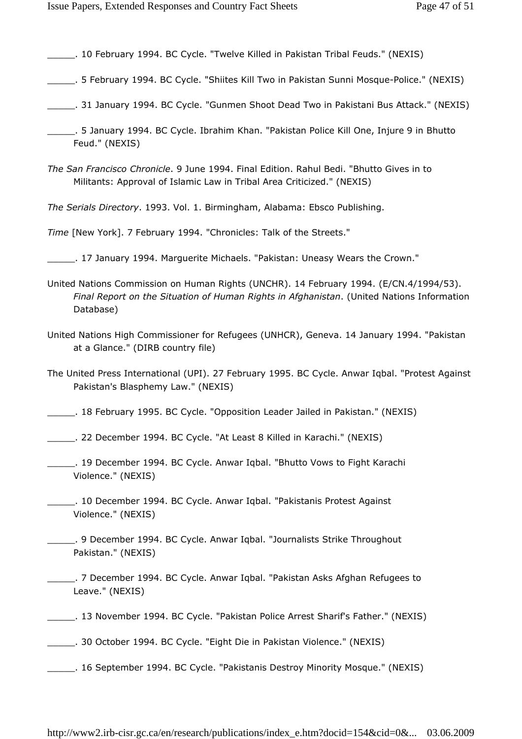\_\_\_\_\_. 10 February 1994. BC Cycle. "Twelve Killed in Pakistan Tribal Feuds." (NEXIS)

- \_\_\_\_\_. 5 February 1994. BC Cycle. "Shiites Kill Two in Pakistan Sunni Mosque-Police." (NEXIS)
- \_\_\_\_\_. 31 January 1994. BC Cycle. "Gunmen Shoot Dead Two in Pakistani Bus Attack." (NEXIS)
- \_\_\_\_\_. 5 January 1994. BC Cycle. Ibrahim Khan. "Pakistan Police Kill One, Injure 9 in Bhutto Feud." (NEXIS)
- The San Francisco Chronicle. 9 June 1994. Final Edition. Rahul Bedi. "Bhutto Gives in to Militants: Approval of Islamic Law in Tribal Area Criticized." (NEXIS)

The Serials Directory. 1993. Vol. 1. Birmingham, Alabama: Ebsco Publishing.

Time [New York]. 7 February 1994. "Chronicles: Talk of the Streets."

- \_\_\_\_\_. 17 January 1994. Marguerite Michaels. "Pakistan: Uneasy Wears the Crown."
- United Nations Commission on Human Rights (UNCHR). 14 February 1994. (E/CN.4/1994/53). Final Report on the Situation of Human Rights in Afghanistan. (United Nations Information Database)
- United Nations High Commissioner for Refugees (UNHCR), Geneva. 14 January 1994. "Pakistan at a Glance." (DIRB country file)
- The United Press International (UPI). 27 February 1995. BC Cycle. Anwar Iqbal. "Protest Against Pakistan's Blasphemy Law." (NEXIS)
- \_\_\_\_\_. 18 February 1995. BC Cycle. "Opposition Leader Jailed in Pakistan." (NEXIS)
- \_\_\_\_\_. 22 December 1994. BC Cycle. "At Least 8 Killed in Karachi." (NEXIS)
- \_\_\_\_\_. 19 December 1994. BC Cycle. Anwar Iqbal. "Bhutto Vows to Fight Karachi Violence." (NEXIS)
- \_\_\_\_\_. 10 December 1994. BC Cycle. Anwar Iqbal. "Pakistanis Protest Against Violence." (NEXIS)
- \_\_\_\_\_. 9 December 1994. BC Cycle. Anwar Iqbal. "Journalists Strike Throughout Pakistan." (NEXIS)
- \_\_\_\_\_. 7 December 1994. BC Cycle. Anwar Iqbal. "Pakistan Asks Afghan Refugees to Leave." (NEXIS)
- \_\_\_\_\_. 13 November 1994. BC Cycle. "Pakistan Police Arrest Sharif's Father." (NEXIS)
- \_\_\_\_\_. 30 October 1994. BC Cycle. "Eight Die in Pakistan Violence." (NEXIS)
- \_\_\_\_\_. 16 September 1994. BC Cycle. "Pakistanis Destroy Minority Mosque." (NEXIS)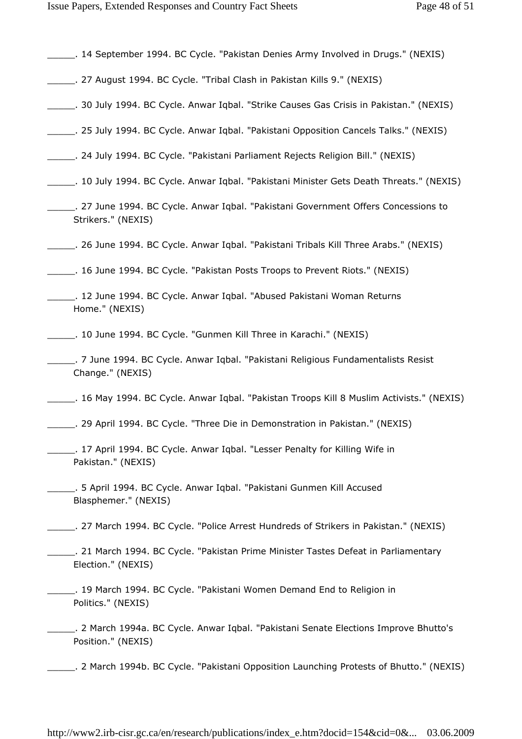- \_\_\_\_\_. 14 September 1994. BC Cycle. "Pakistan Denies Army Involved in Drugs." (NEXIS)
- \_\_\_\_\_. 27 August 1994. BC Cycle. "Tribal Clash in Pakistan Kills 9." (NEXIS)
- \_\_\_\_\_. 30 July 1994. BC Cycle. Anwar Iqbal. "Strike Causes Gas Crisis in Pakistan." (NEXIS)
- \_\_\_\_\_. 25 July 1994. BC Cycle. Anwar Iqbal. "Pakistani Opposition Cancels Talks." (NEXIS)
- \_\_\_\_\_. 24 July 1994. BC Cycle. "Pakistani Parliament Rejects Religion Bill." (NEXIS)
- \_\_\_\_\_. 10 July 1994. BC Cycle. Anwar Iqbal. "Pakistani Minister Gets Death Threats." (NEXIS)
- \_\_\_\_\_. 27 June 1994. BC Cycle. Anwar Iqbal. "Pakistani Government Offers Concessions to Strikers." (NEXIS)
- \_\_\_\_\_. 26 June 1994. BC Cycle. Anwar Iqbal. "Pakistani Tribals Kill Three Arabs." (NEXIS)
- \_\_\_\_\_. 16 June 1994. BC Cycle. "Pakistan Posts Troops to Prevent Riots." (NEXIS)
- \_\_\_\_\_. 12 June 1994. BC Cycle. Anwar Iqbal. "Abused Pakistani Woman Returns Home." (NEXIS)
- \_\_\_\_\_. 10 June 1994. BC Cycle. "Gunmen Kill Three in Karachi." (NEXIS)
- \_\_\_\_\_. 7 June 1994. BC Cycle. Anwar Iqbal. "Pakistani Religious Fundamentalists Resist Change." (NEXIS)
- \_\_\_\_\_. 16 May 1994. BC Cycle. Anwar Iqbal. "Pakistan Troops Kill 8 Muslim Activists." (NEXIS)
- \_\_\_\_\_. 29 April 1994. BC Cycle. "Three Die in Demonstration in Pakistan." (NEXIS)
- \_\_\_\_\_. 17 April 1994. BC Cycle. Anwar Iqbal. "Lesser Penalty for Killing Wife in Pakistan." (NEXIS)
- \_\_\_\_\_. 5 April 1994. BC Cycle. Anwar Iqbal. "Pakistani Gunmen Kill Accused Blasphemer." (NEXIS)
- \_\_\_\_\_. 27 March 1994. BC Cycle. "Police Arrest Hundreds of Strikers in Pakistan." (NEXIS)
- 121 March 1994. BC Cycle. "Pakistan Prime Minister Tastes Defeat in Parliamentary Election." (NEXIS)
- \_\_\_\_\_. 19 March 1994. BC Cycle. "Pakistani Women Demand End to Religion in Politics." (NEXIS)
- \_\_\_\_\_. 2 March 1994a. BC Cycle. Anwar Iqbal. "Pakistani Senate Elections Improve Bhutto's Position." (NEXIS)
- \_\_\_\_\_. 2 March 1994b. BC Cycle. "Pakistani Opposition Launching Protests of Bhutto." (NEXIS)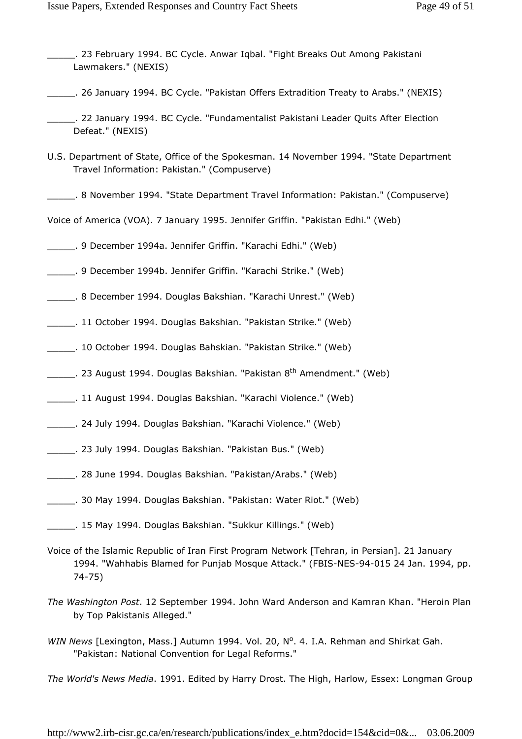- \_\_\_\_\_. 23 February 1994. BC Cycle. Anwar Iqbal. "Fight Breaks Out Among Pakistani Lawmakers." (NEXIS)
- \_\_\_\_\_. 26 January 1994. BC Cycle. "Pakistan Offers Extradition Treaty to Arabs." (NEXIS)
- \_\_\_\_\_. 22 January 1994. BC Cycle. "Fundamentalist Pakistani Leader Quits After Election Defeat." (NEXIS)
- U.S. Department of State, Office of the Spokesman. 14 November 1994. "State Department Travel Information: Pakistan." (Compuserve)
- \_\_\_\_\_. 8 November 1994. "State Department Travel Information: Pakistan." (Compuserve)
- Voice of America (VOA). 7 January 1995. Jennifer Griffin. "Pakistan Edhi." (Web)
- \_\_\_\_\_. 9 December 1994a. Jennifer Griffin. "Karachi Edhi." (Web)
- \_\_\_\_\_. 9 December 1994b. Jennifer Griffin. "Karachi Strike." (Web)
- \_\_\_\_\_. 8 December 1994. Douglas Bakshian. "Karachi Unrest." (Web)
- \_\_\_\_\_. 11 October 1994. Douglas Bakshian. "Pakistan Strike." (Web)
- \_\_\_\_\_. 10 October 1994. Douglas Bahskian. "Pakistan Strike." (Web)
- . 23 August 1994. Douglas Bakshian. "Pakistan 8<sup>th</sup> Amendment." (Web)
- \_\_\_\_\_. 11 August 1994. Douglas Bakshian. "Karachi Violence." (Web)
- \_\_\_\_\_. 24 July 1994. Douglas Bakshian. "Karachi Violence." (Web)
- \_\_\_\_\_. 23 July 1994. Douglas Bakshian. "Pakistan Bus." (Web)
- \_\_\_\_\_. 28 June 1994. Douglas Bakshian. "Pakistan/Arabs." (Web)
- \_\_\_\_\_. 30 May 1994. Douglas Bakshian. "Pakistan: Water Riot." (Web)
- \_\_\_\_\_. 15 May 1994. Douglas Bakshian. "Sukkur Killings." (Web)
- Voice of the Islamic Republic of Iran First Program Network [Tehran, in Persian]. 21 January 1994. "Wahhabis Blamed for Punjab Mosque Attack." (FBIS-NES-94-015 24 Jan. 1994, pp. 74-75)
- The Washington Post. 12 September 1994. John Ward Anderson and Kamran Khan. "Heroin Plan by Top Pakistanis Alleged."
- WIN News [Lexington, Mass.] Autumn 1994. Vol. 20, Nº. 4. I.A. Rehman and Shirkat Gah. "Pakistan: National Convention for Legal Reforms."

The World's News Media. 1991. Edited by Harry Drost. The High, Harlow, Essex: Longman Group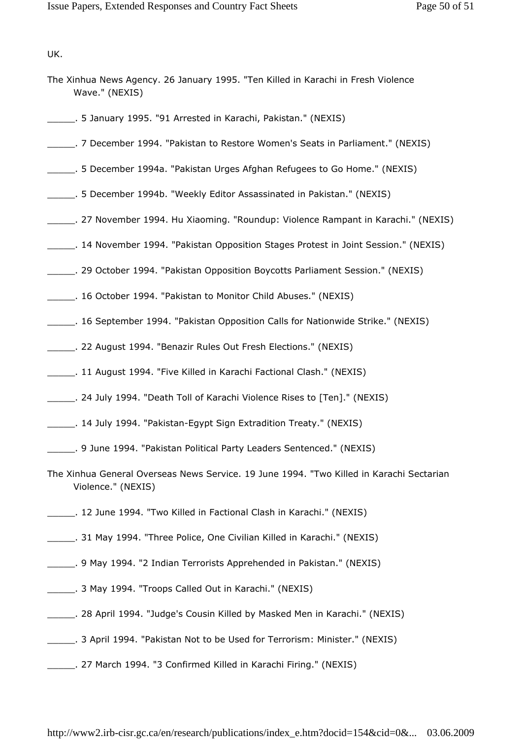UK.

- The Xinhua News Agency. 26 January 1995. "Ten Killed in Karachi in Fresh Violence Wave." (NEXIS)
- \_\_\_\_\_. 5 January 1995. "91 Arrested in Karachi, Pakistan." (NEXIS)
- \_\_\_\_\_. 7 December 1994. "Pakistan to Restore Women's Seats in Parliament." (NEXIS)
- \_\_\_\_\_. 5 December 1994a. "Pakistan Urges Afghan Refugees to Go Home." (NEXIS)
- \_\_\_\_\_. 5 December 1994b. "Weekly Editor Assassinated in Pakistan." (NEXIS)
- \_\_\_\_\_. 27 November 1994. Hu Xiaoming. "Roundup: Violence Rampant in Karachi." (NEXIS)
- \_\_\_\_\_. 14 November 1994. "Pakistan Opposition Stages Protest in Joint Session." (NEXIS)
- \_\_\_\_\_. 29 October 1994. "Pakistan Opposition Boycotts Parliament Session." (NEXIS)
- \_\_\_\_\_. 16 October 1994. "Pakistan to Monitor Child Abuses." (NEXIS)
- \_\_\_\_\_. 16 September 1994. "Pakistan Opposition Calls for Nationwide Strike." (NEXIS)
- \_\_\_\_\_. 22 August 1994. "Benazir Rules Out Fresh Elections." (NEXIS)
- \_\_\_\_\_. 11 August 1994. "Five Killed in Karachi Factional Clash." (NEXIS)
- \_\_\_\_\_. 24 July 1994. "Death Toll of Karachi Violence Rises to [Ten]." (NEXIS)
- \_\_\_\_\_. 14 July 1994. "Pakistan-Egypt Sign Extradition Treaty." (NEXIS)
- \_\_\_\_\_. 9 June 1994. "Pakistan Political Party Leaders Sentenced." (NEXIS)
- The Xinhua General Overseas News Service. 19 June 1994. "Two Killed in Karachi Sectarian Violence." (NEXIS)
- \_\_\_\_\_. 12 June 1994. "Two Killed in Factional Clash in Karachi." (NEXIS)
- \_\_\_\_\_. 31 May 1994. "Three Police, One Civilian Killed in Karachi." (NEXIS)
- \_\_\_\_\_. 9 May 1994. "2 Indian Terrorists Apprehended in Pakistan." (NEXIS)
- \_\_\_\_\_. 3 May 1994. "Troops Called Out in Karachi." (NEXIS)
- \_\_\_\_\_. 28 April 1994. "Judge's Cousin Killed by Masked Men in Karachi." (NEXIS)
- \_\_\_\_\_. 3 April 1994. "Pakistan Not to be Used for Terrorism: Minister." (NEXIS)
- \_\_\_\_\_. 27 March 1994. "3 Confirmed Killed in Karachi Firing." (NEXIS)